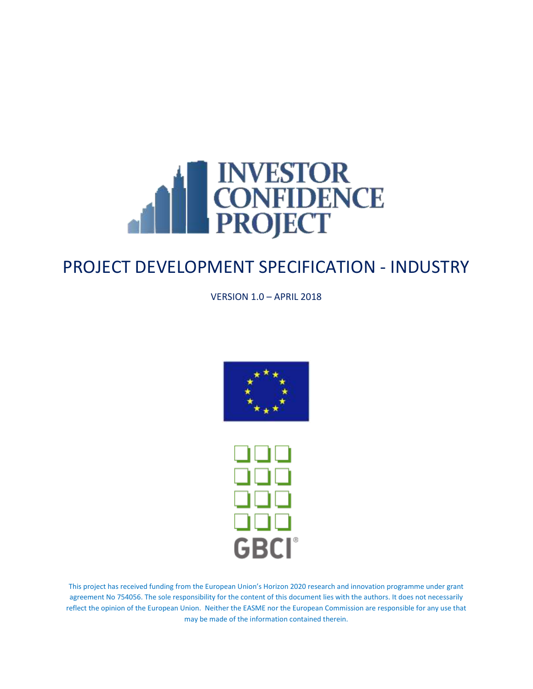

VERSION 1.0 – APRIL 2018





This project has received funding from the European Union's Horizon 2020 research and innovation programme under grant agreement No 754056. The sole responsibility for the content of this document lies with the authors. It does not necessarily reflect the opinion of the European Union. Neither the EASME nor the European Commission are responsible for any use that may be made of the information contained therein.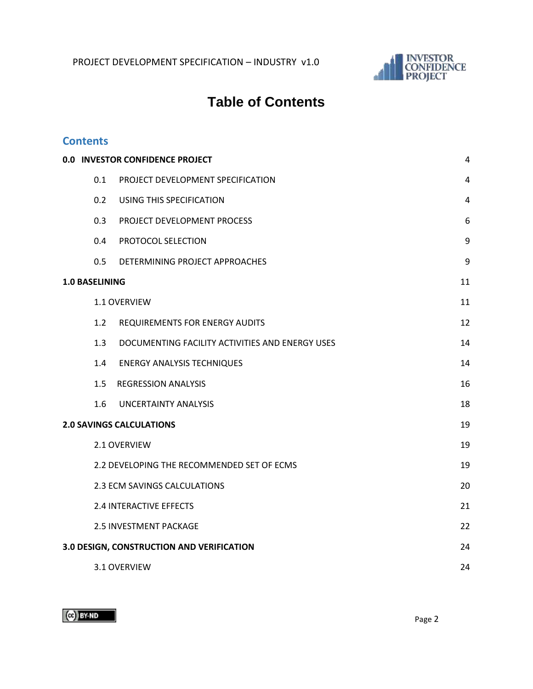

# **Table of Contents**

## **Contents**

|                       | 0.0 INVESTOR CONFIDENCE PROJECT                 | 4              |
|-----------------------|-------------------------------------------------|----------------|
| 0.1                   | PROJECT DEVELOPMENT SPECIFICATION               | $\overline{4}$ |
| 0.2                   | USING THIS SPECIFICATION                        | $\overline{4}$ |
| 0.3                   | PROJECT DEVELOPMENT PROCESS                     | 6              |
| 0.4                   | PROTOCOL SELECTION                              | 9              |
|                       | 0.5 DETERMINING PROJECT APPROACHES              | 9              |
| <b>1.0 BASELINING</b> |                                                 | 11             |
|                       | 1.1 OVERVIEW                                    | 11             |
| $1.2^{\circ}$         | REQUIREMENTS FOR ENERGY AUDITS                  | 12             |
| 1.3                   | DOCUMENTING FACILITY ACTIVITIES AND ENERGY USES | 14             |
| 1.4                   | <b>ENERGY ANALYSIS TECHNIQUES</b>               | 14             |
| 1.5                   | <b>REGRESSION ANALYSIS</b>                      | 16             |
| $1.6\phantom{0}$      | <b>UNCERTAINTY ANALYSIS</b>                     | 18             |
|                       | <b>2.0 SAVINGS CALCULATIONS</b>                 | 19             |
|                       | 2.1 OVERVIEW                                    | 19             |
|                       | 2.2 DEVELOPING THE RECOMMENDED SET OF ECMS      | 19             |
|                       | 2.3 ECM SAVINGS CALCULATIONS                    | 20             |
|                       | <b>2.4 INTERACTIVE EFFECTS</b>                  | 21             |
|                       | 2.5 INVESTMENT PACKAGE                          | 22             |
|                       | 3.0 DESIGN, CONSTRUCTION AND VERIFICATION       | 24             |
|                       | 3.1 OVERVIEW                                    | 24             |

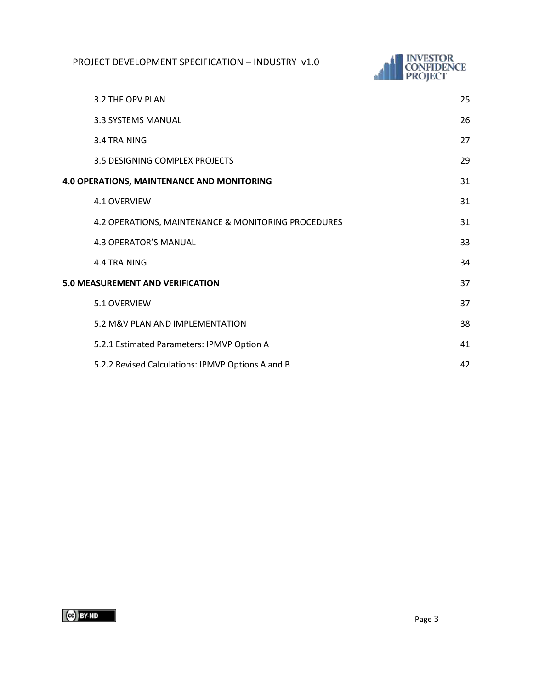

| 3.2 THE OPV PLAN                                    | 25 |
|-----------------------------------------------------|----|
| 3.3 SYSTEMS MANUAL                                  | 26 |
| 3.4 TRAINING                                        | 27 |
| 3.5 DESIGNING COMPLEX PROJECTS                      | 29 |
| 4.0 OPERATIONS, MAINTENANCE AND MONITORING          | 31 |
| 4.1 OVERVIEW                                        | 31 |
| 4.2 OPERATIONS, MAINTENANCE & MONITORING PROCEDURES | 31 |
| <b>4.3 OPERATOR'S MANUAL</b>                        | 33 |
| <b>4.4 TRAINING</b>                                 | 34 |
| 5.0 MEASUREMENT AND VERIFICATION                    | 37 |
| 5.1 OVERVIEW                                        | 37 |
| 5.2 M&V PLAN AND IMPLEMENTATION                     | 38 |
| 5.2.1 Estimated Parameters: IPMVP Option A          | 41 |
| 5.2.2 Revised Calculations: IPMVP Options A and B   | 42 |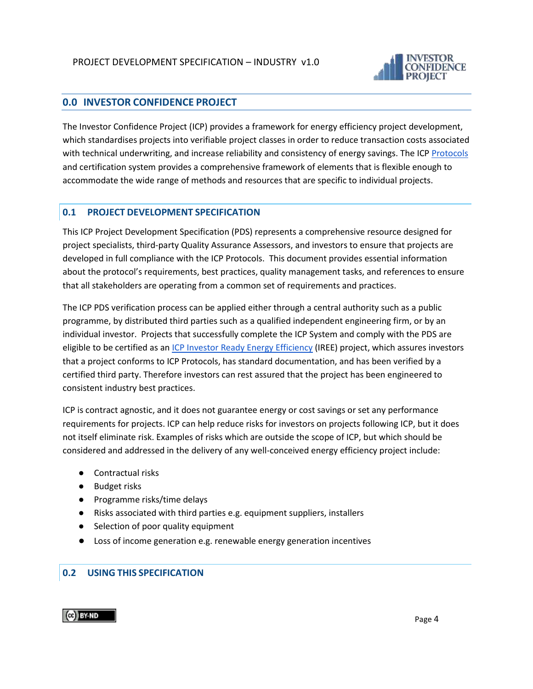

## <span id="page-3-0"></span>**0.0 INVESTOR CONFIDENCE PROJECT**

The Investor Confidence Project (ICP) provides a framework for energy efficiency project development, which standardises projects into verifiable project classes in order to reduce transaction costs associated with technical underwriting, and increase reliability and consistency of energy savings. The IC[P Protocols](http://europe.eeperformance.org/protocols.html) and certification system provides a comprehensive framework of elements that is flexible enough to accommodate the wide range of methods and resources that are specific to individual projects.

## <span id="page-3-1"></span>**0.1 PROJECT DEVELOPMENT SPECIFICATION**

This ICP Project Development Specification (PDS) represents a comprehensive resource designed for project specialists, third-party Quality Assurance Assessors, and investors to ensure that projects are developed in full compliance with the ICP Protocols. This document provides essential information about the protocol's requirements, best practices, quality management tasks, and references to ensure that all stakeholders are operating from a common set of requirements and practices.

The ICP PDS verification process can be applied either through a central authority such as a public programme, by distributed third parties such as a qualified independent engineering firm, or by an individual investor. Projects that successfully complete the ICP System and comply with the PDS are eligible to be certified as a[n ICP Investor Ready Energy Efficiency](http://europe.eeperformance.org/investor-ready-energy-efficiency.html) (IREE) project, which assures investors that a project conforms to ICP Protocols, has standard documentation, and has been verified by a certified third party. Therefore investors can rest assured that the project has been engineered to consistent industry best practices.

ICP is contract agnostic, and it does not guarantee energy or cost savings or set any performance requirements for projects. ICP can help reduce risks for investors on projects following ICP, but it does not itself eliminate risk. Examples of risks which are outside the scope of ICP, but which should be considered and addressed in the delivery of any well-conceived energy efficiency project include:

- Contractual risks
- Budget risks
- Programme risks/time delays
- Risks associated with third parties e.g. equipment suppliers, installers
- Selection of poor quality equipment
- Loss of income generation e.g. renewable energy generation incentives

#### <span id="page-3-2"></span>**0.2 USING THIS SPECIFICATION**

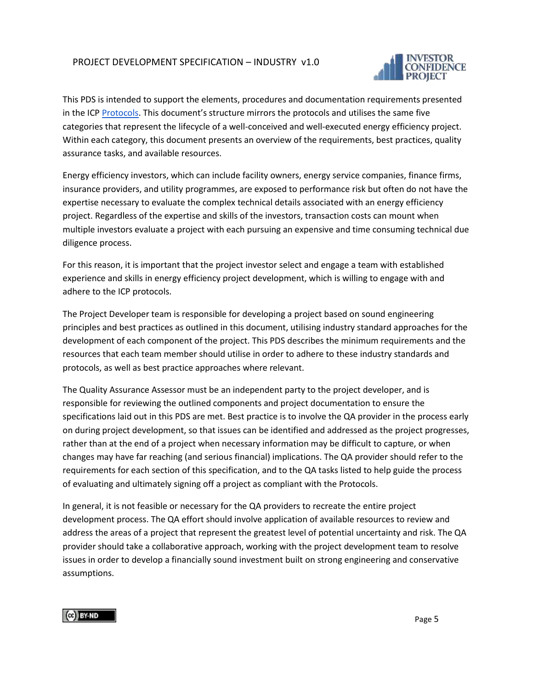

This PDS is intended to support the elements, procedures and documentation requirements presented in the ICP [Protocols](http://europe.eeperformance.org/protocols.html). This document's structure mirrors the protocols and utilises the same five categories that represent the lifecycle of a well-conceived and well-executed energy efficiency project. Within each category, this document presents an overview of the requirements, best practices, quality assurance tasks, and available resources.

Energy efficiency investors, which can include facility owners, energy service companies, finance firms, insurance providers, and utility programmes, are exposed to performance risk but often do not have the expertise necessary to evaluate the complex technical details associated with an energy efficiency project. Regardless of the expertise and skills of the investors, transaction costs can mount when multiple investors evaluate a project with each pursuing an expensive and time consuming technical due diligence process.

For this reason, it is important that the project investor select and engage a team with established experience and skills in energy efficiency project development, which is willing to engage with and adhere to the ICP protocols.

The Project Developer team is responsible for developing a project based on sound engineering principles and best practices as outlined in this document, utilising industry standard approaches for the development of each component of the project. This PDS describes the minimum requirements and the resources that each team member should utilise in order to adhere to these industry standards and protocols, as well as best practice approaches where relevant.

The Quality Assurance Assessor must be an independent party to the project developer, and is responsible for reviewing the outlined components and project documentation to ensure the specifications laid out in this PDS are met. Best practice is to involve the QA provider in the process early on during project development, so that issues can be identified and addressed as the project progresses, rather than at the end of a project when necessary information may be difficult to capture, or when changes may have far reaching (and serious financial) implications. The QA provider should refer to the requirements for each section of this specification, and to the QA tasks listed to help guide the process of evaluating and ultimately signing off a project as compliant with the Protocols.

In general, it is not feasible or necessary for the QA providers to recreate the entire project development process. The QA effort should involve application of available resources to review and address the areas of a project that represent the greatest level of potential uncertainty and risk. The QA provider should take a collaborative approach, working with the project development team to resolve issues in order to develop a financially sound investment built on strong engineering and conservative assumptions.

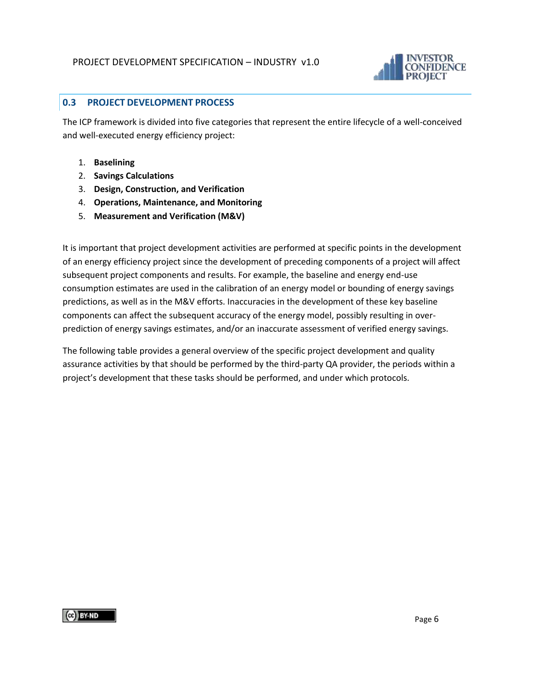

#### <span id="page-5-0"></span>**0.3 PROJECT DEVELOPMENT PROCESS**

The ICP framework is divided into five categories that represent the entire lifecycle of a well-conceived and well-executed energy efficiency project:

- 1. **Baselining**
- 2. **Savings Calculations**
- 3. **Design, Construction, and Verification**
- 4. **Operations, Maintenance, and Monitoring**
- 5. **Measurement and Verification (M&V)**

It is important that project development activities are performed at specific points in the development of an energy efficiency project since the development of preceding components of a project will affect subsequent project components and results. For example, the baseline and energy end-use consumption estimates are used in the calibration of an energy model or bounding of energy savings predictions, as well as in the M&V efforts. Inaccuracies in the development of these key baseline components can affect the subsequent accuracy of the energy model, possibly resulting in overprediction of energy savings estimates, and/or an inaccurate assessment of verified energy savings.

The following table provides a general overview of the specific project development and quality assurance activities by that should be performed by the third-party QA provider, the periods within a project's development that these tasks should be performed, and under which protocols.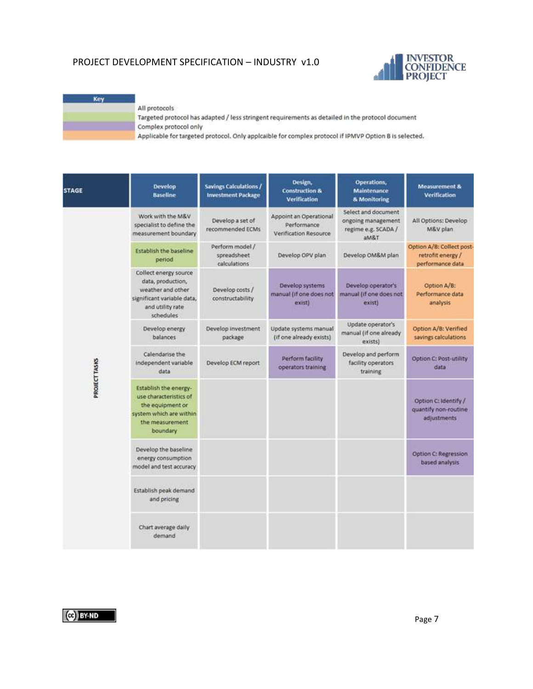



All protocols

Targeted protocol has adapted / less stringent requirements as detailed in the protocol document Complex protocol only

Applicable for targeted protocol. Only applcaible for complex protocol if IPMVP Option B is selected.

| <b>STAGE</b>  | Develop<br><b>Baseline</b>                                                                                                     | <b>Savings Calculations /</b><br><b>Investment Package</b> | Design,<br><b>Construction &amp;</b><br>Verification           | Operations,<br><b>Maintenance</b><br>& Monitoring                        | <b>Measurement &amp;</b><br>Verification                           |
|---------------|--------------------------------------------------------------------------------------------------------------------------------|------------------------------------------------------------|----------------------------------------------------------------|--------------------------------------------------------------------------|--------------------------------------------------------------------|
|               | Work with the M&V<br>specialist to define the<br>measurement boundary                                                          | Develop a set of<br>recommended ECMs                       | Appoint an Operational<br>Performance<br>Verification Resource | Select and document<br>ongoing management<br>regime e.g. SCADA /<br>aM&T | All Options: Develop<br>M&V plan                                   |
|               | Establish the baseline<br>period                                                                                               | Perform model /<br>spreadsheet<br>calculations             | Develop OPV plan                                               | Develop OM&M plan                                                        | Option A/B: Collect post-<br>retrofit energy /<br>performance data |
|               | Collect energy source<br>data, production,<br>weather and other<br>significant variable data,<br>and utility rate<br>schedules | Develop costs /<br>constructability                        | Develop systems<br>manual (if one does not<br>exist)           | Develop operator's<br>manual (if one does not<br>exist)                  | Option A/B:<br>Performance data<br>analysis                        |
|               | Develop energy<br>balances                                                                                                     | Develop investment<br>package                              | Update systems manual<br>(if one already exists)               | Update operator's<br>manual (if one already<br>exists)                   | Option A/B: Verified<br>savings calculations                       |
| PROJECT TASKS | Calendarise the<br>independent variable<br>data                                                                                | Develop ECM report                                         | Perform facility<br>operators training                         | Develop and perform<br>facility operators<br>training                    | Option C: Post-utility<br>data                                     |
|               | Establish the energy-<br>use characteristics of<br>the equipment or<br>system which are within<br>the measurement<br>boundary  |                                                            |                                                                |                                                                          | Option C: Identify /<br>quantify non-routine<br>adjustments        |
|               | Develop the baseline<br>energy consumption<br>model and test accuracy                                                          |                                                            |                                                                |                                                                          | Option C: Regression<br>based analysis                             |
|               | Establish peak demand<br>and pricing                                                                                           |                                                            |                                                                |                                                                          |                                                                    |
|               | Chart average daily<br>demand                                                                                                  |                                                            |                                                                |                                                                          |                                                                    |

 $\infty$  BY-ND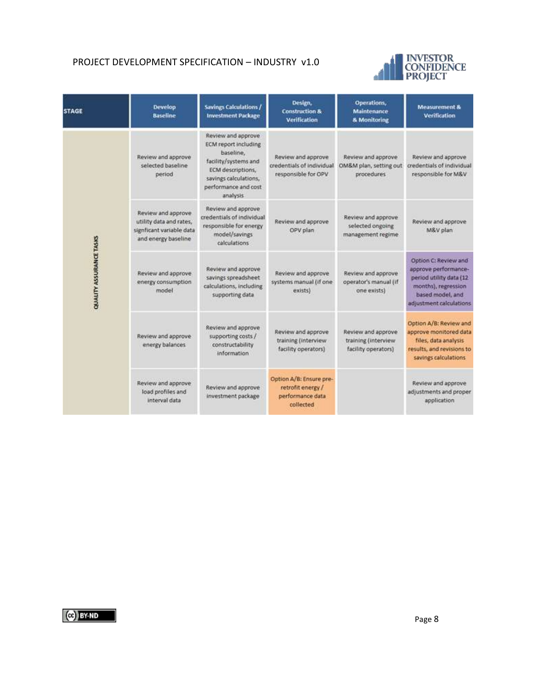

| <b>STAGE</b>            | <b>Develop</b><br><b>Baseline</b>                                                                | <b>Savings Calculations /</b><br><b>Investment Package</b>                                                                                                                      | Design,<br><b>Construction &amp;</b><br>Verification                          | Operations,<br>Maintenance<br>& Monitoring                       | <b>Measurement &amp;</b><br>Verification                                                                                                       |
|-------------------------|--------------------------------------------------------------------------------------------------|---------------------------------------------------------------------------------------------------------------------------------------------------------------------------------|-------------------------------------------------------------------------------|------------------------------------------------------------------|------------------------------------------------------------------------------------------------------------------------------------------------|
|                         | Review and approve<br>selected baseline<br>period                                                | Review and approve<br><b>ECM</b> report including<br>baseline.<br>facility/systems and<br><b>ECM</b> descriptions.<br>savings calculations,<br>performance and cost<br>analysis | Review and approve<br>credentials of individual<br>responsible for OPV        | Review and approve<br>OM&M plan, setting out<br>procedures       | Review and approve<br>credentials of individual<br>responsible for M&V                                                                         |
|                         | Review and approve<br>utility data and rates,<br>signficant variable data<br>and energy baseline | Review and approve<br>credentials of individual<br>responsible for energy<br>model/savings<br>calculations                                                                      | Review and approve<br>OPV plan                                                | Review and approve<br>selected ongoing<br>management regime      | Review and approve<br>M&V plan                                                                                                                 |
| QUALITY ASSURANCE TASKS | Review and approve<br>energy consumption<br>model                                                | Review and approve<br>savings spreadsheet<br>calculations, including<br>supporting data                                                                                         | Review and approve<br>systems manual (if one<br>exists)                       | Review and approve<br>operator's manual (if<br>one exists)       | Option C: Review and<br>approve performance-<br>period utility data (12)<br>months), regression<br>based model, and<br>adjustment calculations |
|                         | Review and approve<br>energy balances                                                            | Review and approve<br>supporting costs /<br>constructability<br>information                                                                                                     | Review and approve<br>training (interview<br>facility operators)              | Review and approve<br>training (interview<br>facility operators) | Option A/B: Review and<br>approve monitored data<br>files, data analysis<br>results, and revisions to<br>savings calculations                  |
|                         | Review and approve<br>load profiles and<br>interval data                                         | Review and approve<br>investment package                                                                                                                                        | Option A/B: Ensure pre-<br>retrofit energy /<br>performance data<br>collected |                                                                  | Review and approve<br>adjustments and proper<br>application                                                                                    |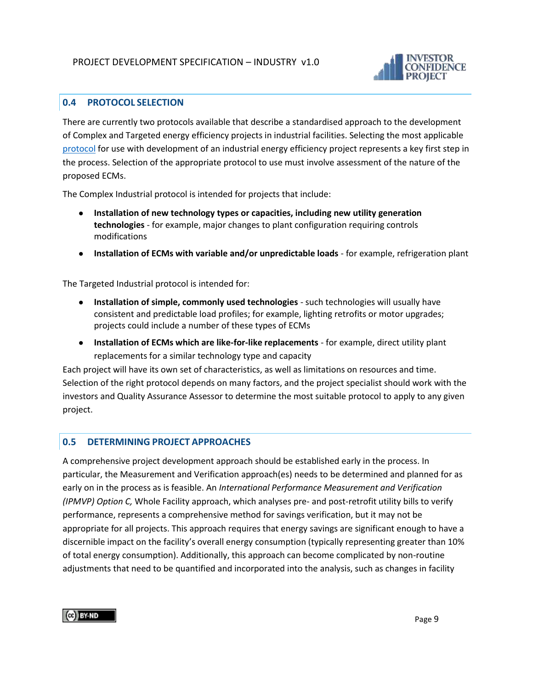

# <span id="page-8-0"></span>**0.4 PROTOCOL SELECTION**

There are currently two protocols available that describe a standardised approach to the development of Complex and Targeted energy efficiency projects in industrial facilities. Selecting the most applicable [protocol](http://europe.eeperformance.org/protocols.html) for use with development of an industrial energy efficiency project represents a key first step in the process. Selection of the appropriate protocol to use must involve assessment of the nature of the proposed ECMs.

The Complex Industrial protocol is intended for projects that include:

- **Installation of new technology types or capacities, including new utility generation technologies** - for example, major changes to plant configuration requiring controls modifications
- **Installation of ECMs with variable and/or unpredictable loads**  for example, refrigeration plant

The Targeted Industrial protocol is intended for:

- **Installation of simple, commonly used technologies** such technologies will usually have consistent and predictable load profiles; for example, lighting retrofits or motor upgrades; projects could include a number of these types of ECMs
- **Installation of ECMs which are like-for-like replacements**  for example, direct utility plant replacements for a similar technology type and capacity

Each project will have its own set of characteristics, as well as limitations on resources and time. Selection of the right protocol depends on many factors, and the project specialist should work with the investors and Quality Assurance Assessor to determine the most suitable protocol to apply to any given project.

## <span id="page-8-1"></span>**0.5 DETERMINING PROJECT APPROACHES**

A comprehensive project development approach should be established early in the process. In particular, the Measurement and Verification approach(es) needs to be determined and planned for as early on in the process as is feasible. An *International Performance Measurement and Verification (IPMVP) Option C,* Whole Facility approach, which analyses pre- and post-retrofit utility bills to verify performance, represents a comprehensive method for savings verification, but it may not be appropriate for all projects. This approach requires that energy savings are significant enough to have a discernible impact on the facility's overall energy consumption (typically representing greater than 10% of total energy consumption). Additionally, this approach can become complicated by non-routine adjustments that need to be quantified and incorporated into the analysis, such as changes in facility

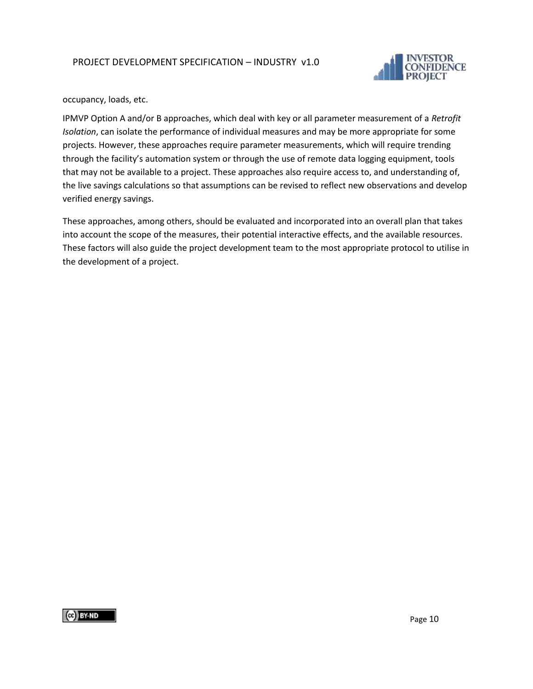

occupancy, loads, etc.

IPMVP Option A and/or B approaches, which deal with key or all parameter measurement of a *Retrofit Isolation*, can isolate the performance of individual measures and may be more appropriate for some projects. However, these approaches require parameter measurements, which will require trending through the facility's automation system or through the use of remote data logging equipment, tools that may not be available to a project. These approaches also require access to, and understanding of, the live savings calculations so that assumptions can be revised to reflect new observations and develop verified energy savings.

These approaches, among others, should be evaluated and incorporated into an overall plan that takes into account the scope of the measures, their potential interactive effects, and the available resources. These factors will also guide the project development team to the most appropriate protocol to utilise in the development of a project.

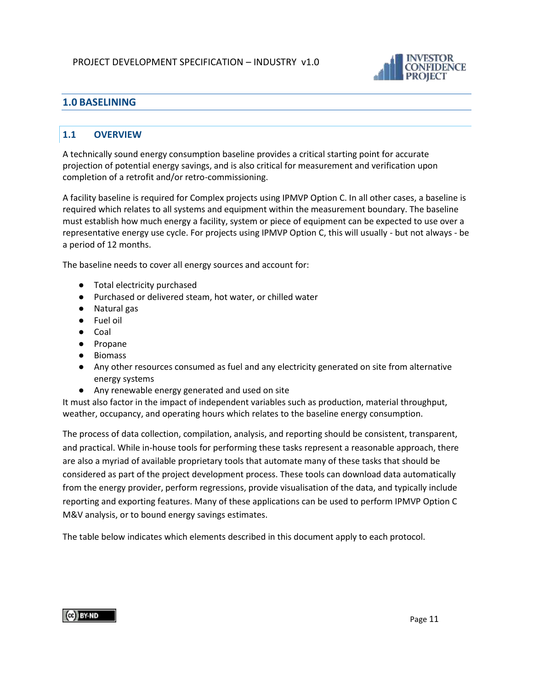

# <span id="page-10-0"></span>**1.0 BASELINING**

#### <span id="page-10-1"></span>**1.1 OVERVIEW**

A technically sound energy consumption baseline provides a critical starting point for accurate projection of potential energy savings, and is also critical for measurement and verification upon completion of a retrofit and/or retro-commissioning.

A facility baseline is required for Complex projects using IPMVP Option C. In all other cases, a baseline is required which relates to all systems and equipment within the measurement boundary. The baseline must establish how much energy a facility, system or piece of equipment can be expected to use over a representative energy use cycle. For projects using IPMVP Option C, this will usually - but not always - be a period of 12 months.

The baseline needs to cover all energy sources and account for:

- Total electricity purchased
- Purchased or delivered steam, hot water, or chilled water
- Natural gas
- Fuel oil
- Coal
- Propane
- Biomass
- Any other resources consumed as fuel and any electricity generated on site from alternative energy systems
- Any renewable energy generated and used on site

It must also factor in the impact of independent variables such as production, material throughput, weather, occupancy, and operating hours which relates to the baseline energy consumption.

The process of data collection, compilation, analysis, and reporting should be consistent, transparent, and practical. While in-house tools for performing these tasks represent a reasonable approach, there are also a myriad of available proprietary tools that automate many of these tasks that should be considered as part of the project development process. These tools can download data automatically from the energy provider, perform regressions, provide visualisation of the data, and typically include reporting and exporting features. Many of these applications can be used to perform IPMVP Option C M&V analysis, or to bound energy savings estimates.

The table below indicates which elements described in this document apply to each protocol.

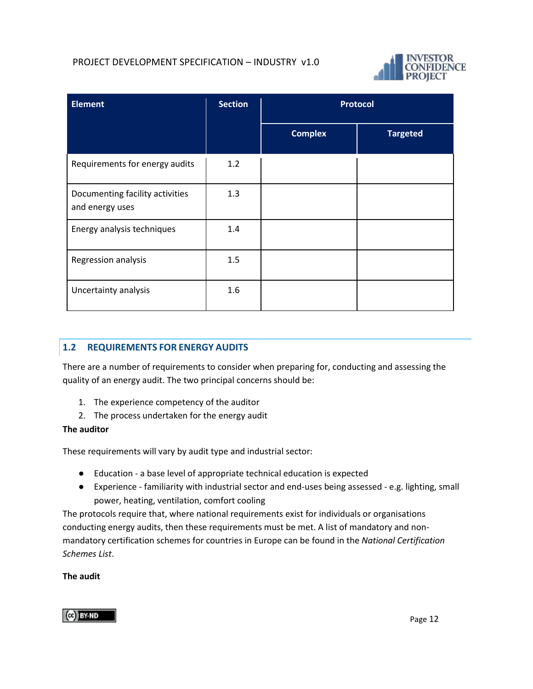

| <b>Element</b>                                     | <b>Section</b> |                | Protocol        |
|----------------------------------------------------|----------------|----------------|-----------------|
|                                                    |                | <b>Complex</b> | <b>Targeted</b> |
| Requirements for energy audits                     | 1.2            |                |                 |
| Documenting facility activities<br>and energy uses | 1.3            |                |                 |
| Energy analysis techniques                         | 1.4            |                |                 |
| Regression analysis                                | 1.5            |                |                 |
| Uncertainty analysis                               | 1.6            |                |                 |

## <span id="page-11-0"></span>**1.2 REQUIREMENTS FOR ENERGY AUDITS**

There are a number of requirements to consider when preparing for, conducting and assessing the quality of an energy audit. The two principal concerns should be:

- 1. The experience competency of the auditor
- 2. The process undertaken for the energy audit

#### **The auditor**

These requirements will vary by audit type and industrial sector:

- Education a base level of appropriate technical education is expected
- Experience familiarity with industrial sector and end-uses being assessed e.g. lighting, small power, heating, ventilation, comfort cooling

The protocols require that, where national requirements exist for individuals or organisations conducting energy audits, then these requirements must be met. A list of mandatory and nonmandatory certification schemes for countries in Europe can be found in the *National Certification Schemes List*.

**The audit**

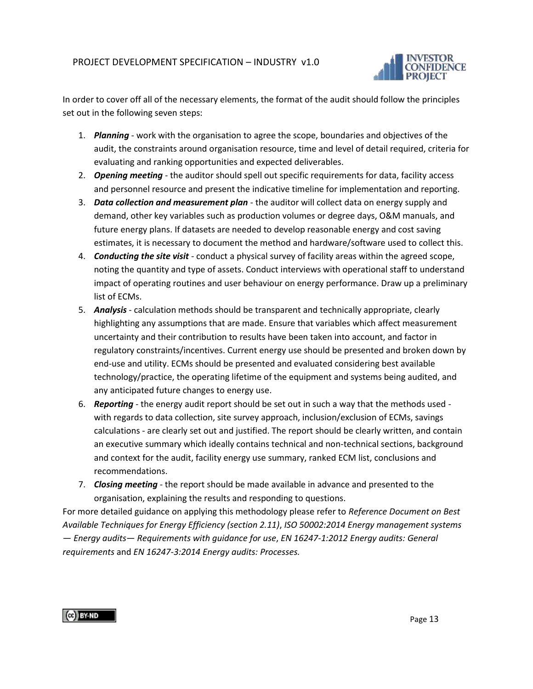

In order to cover off all of the necessary elements, the format of the audit should follow the principles set out in the following seven steps:

- 1. *Planning* work with the organisation to agree the scope, boundaries and objectives of the audit, the constraints around organisation resource, time and level of detail required, criteria for evaluating and ranking opportunities and expected deliverables.
- 2. *Opening meeting* the auditor should spell out specific requirements for data, facility access and personnel resource and present the indicative timeline for implementation and reporting.
- 3. *Data collection and measurement plan* the auditor will collect data on energy supply and demand, other key variables such as production volumes or degree days, O&M manuals, and future energy plans. If datasets are needed to develop reasonable energy and cost saving estimates, it is necessary to document the method and hardware/software used to collect this.
- 4. *Conducting the site visit* conduct a physical survey of facility areas within the agreed scope, noting the quantity and type of assets. Conduct interviews with operational staff to understand impact of operating routines and user behaviour on energy performance. Draw up a preliminary list of ECMs.
- 5. *Analysis* calculation methods should be transparent and technically appropriate, clearly highlighting any assumptions that are made. Ensure that variables which affect measurement uncertainty and their contribution to results have been taken into account, and factor in regulatory constraints/incentives. Current energy use should be presented and broken down by end-use and utility. ECMs should be presented and evaluated considering best available technology/practice, the operating lifetime of the equipment and systems being audited, and any anticipated future changes to energy use.
- 6. *Reporting* the energy audit report should be set out in such a way that the methods used with regards to data collection, site survey approach, inclusion/exclusion of ECMs, savings calculations - are clearly set out and justified. The report should be clearly written, and contain an executive summary which ideally contains technical and non-technical sections, background and context for the audit, facility energy use summary, ranked ECM list, conclusions and recommendations.
- 7. *Closing meeting* the report should be made available in advance and presented to the organisation, explaining the results and responding to questions.

For more detailed guidance on applying this methodology please refer to *Reference Document on Best Available Techniques for Energy Efficiency (section 2.11)*, *ISO 50002:2014 Energy management systems — Energy audits— Requirements with guidance for use*, *EN 16247-1:2012 Energy audits: General requirements* and *EN 16247-3:2014 Energy audits: Processes.*

## **CG** BY ND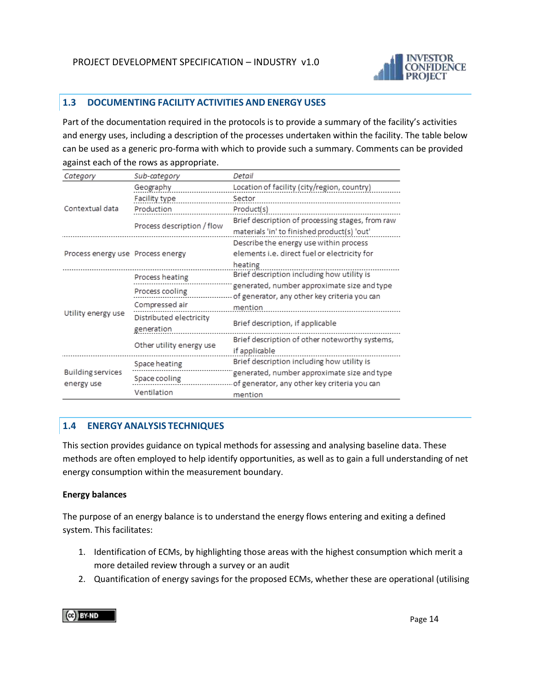

# <span id="page-13-0"></span>**1.3 DOCUMENTING FACILITY ACTIVITIES AND ENERGY USES**

Part of the documentation required in the protocols is to provide a summary of the facility's activities and energy uses, including a description of the processes undertaken within the facility. The table below can be used as a generic pro-forma with which to provide such a summary. Comments can be provided against each of the rows as appropriate.

| Category                          | Sub-category               | Detail                                           |  |
|-----------------------------------|----------------------------|--------------------------------------------------|--|
|                                   | Geography                  | Location of facility (city/region, country)      |  |
|                                   | Facility type              | Sector                                           |  |
| Contextual data                   | Production                 | Product(s)                                       |  |
|                                   | Process description / flow | Brief description of processing stages, from raw |  |
|                                   |                            | materials 'in' to finished product(s) 'out'      |  |
|                                   |                            | Describe the energy use within process           |  |
| Process energy use Process energy |                            | elements i.e. direct fuel or electricity for     |  |
|                                   |                            | heating                                          |  |
|                                   | Process heating            | Brief description including how utility is       |  |
|                                   | Process cooling            | generated, number approximate size and type      |  |
|                                   |                            | of generator, any other key criteria you can     |  |
|                                   | Compressed air             | mention                                          |  |
| Utility energy use                | Distributed electricity    | Brief description, if applicable                 |  |
|                                   | generation                 |                                                  |  |
|                                   |                            | Brief description of other noteworthy systems,   |  |
|                                   | Other utility energy use   | if applicable                                    |  |
|                                   | Space heating              | Brief description including how utility is       |  |
| <b>Building services</b>          |                            | generated, number approximate size and type      |  |
| energy use                        | Space cooling              | of generator, any other key criteria you can     |  |
|                                   | Ventilation                | mention                                          |  |

## <span id="page-13-1"></span>**1.4 ENERGY ANALYSIS TECHNIQUES**

This section provides guidance on typical methods for assessing and analysing baseline data. These methods are often employed to help identify opportunities, as well as to gain a full understanding of net energy consumption within the measurement boundary.

#### **Energy balances**

The purpose of an energy balance is to understand the energy flows entering and exiting a defined system. This facilitates:

- 1. Identification of ECMs, by highlighting those areas with the highest consumption which merit a more detailed review through a survey or an audit
- 2. Quantification of energy savings for the proposed ECMs, whether these are operational (utilising

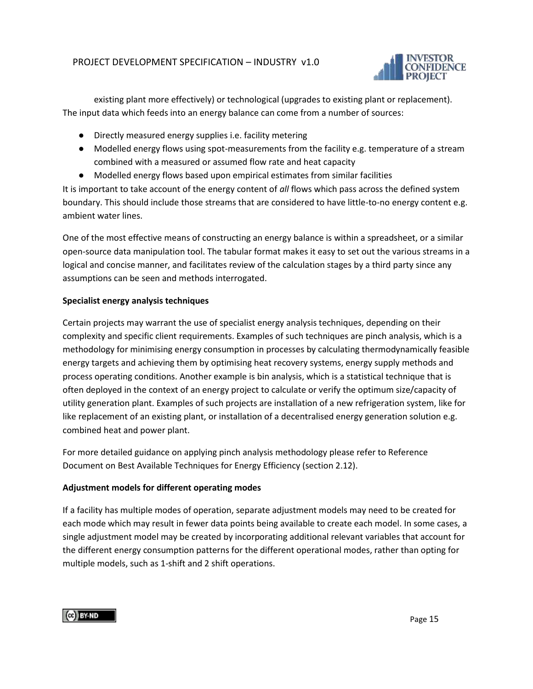

existing plant more effectively) or technological (upgrades to existing plant or replacement). The input data which feeds into an energy balance can come from a number of sources:

- Directly measured energy supplies i.e. facility metering
- Modelled energy flows using spot-measurements from the facility e.g. temperature of a stream combined with a measured or assumed flow rate and heat capacity
- Modelled energy flows based upon empirical estimates from similar facilities

It is important to take account of the energy content of *all* flows which pass across the defined system boundary. This should include those streams that are considered to have little-to-no energy content e.g. ambient water lines.

One of the most effective means of constructing an energy balance is within a spreadsheet, or a similar open-source data manipulation tool. The tabular format makes it easy to set out the various streams in a logical and concise manner, and facilitates review of the calculation stages by a third party since any assumptions can be seen and methods interrogated.

#### **Specialist energy analysis techniques**

Certain projects may warrant the use of specialist energy analysis techniques, depending on their complexity and specific client requirements. Examples of such techniques are pinch analysis, which is a methodology for minimising energy consumption in processes by calculating thermodynamically feasible energy targets and achieving them by optimising heat recovery systems, energy supply methods and process operating conditions. Another example is bin analysis, which is a statistical technique that is often deployed in the context of an energy project to calculate or verify the optimum size/capacity of utility generation plant. Examples of such projects are installation of a new refrigeration system, like for like replacement of an existing plant, or installation of a decentralised energy generation solution e.g. combined heat and power plant.

For more detailed guidance on applying pinch analysis methodology please refer to Reference Document on Best Available Techniques for Energy Efficiency (section 2.12).

## **Adjustment models for different operating modes**

If a facility has multiple modes of operation, separate adjustment models may need to be created for each mode which may result in fewer data points being available to create each model. In some cases, a single adjustment model may be created by incorporating additional relevant variables that account for the different energy consumption patterns for the different operational modes, rather than opting for multiple models, such as 1-shift and 2 shift operations.

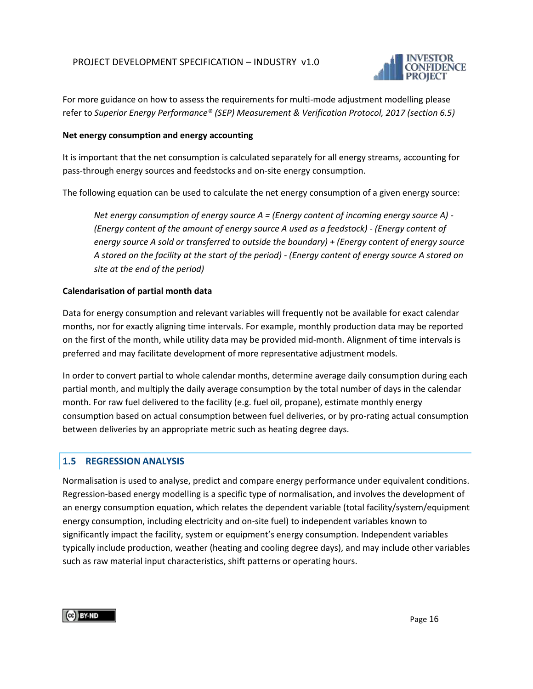

For more guidance on how to assess the requirements for multi-mode adjustment modelling please refer to *Superior Energy Performance® (SEP) Measurement & Verification Protocol, 2017 (section 6.5)*

#### **Net energy consumption and energy accounting**

It is important that the net consumption is calculated separately for all energy streams, accounting for pass-through energy sources and feedstocks and on-site energy consumption.

The following equation can be used to calculate the net energy consumption of a given energy source:

*Net energy consumption of energy source A = (Energy content of incoming energy source A) - (Energy content of the amount of energy source A used as a feedstock) - (Energy content of energy source A sold or transferred to outside the boundary) + (Energy content of energy source A stored on the facility at the start of the period) - (Energy content of energy source A stored on site at the end of the period)*

#### **Calendarisation of partial month data**

Data for energy consumption and relevant variables will frequently not be available for exact calendar months, nor for exactly aligning time intervals. For example, monthly production data may be reported on the first of the month, while utility data may be provided mid-month. Alignment of time intervals is preferred and may facilitate development of more representative adjustment models.

In order to convert partial to whole calendar months, determine average daily consumption during each partial month, and multiply the daily average consumption by the total number of days in the calendar month. For raw fuel delivered to the facility (e.g. fuel oil, propane), estimate monthly energy consumption based on actual consumption between fuel deliveries, or by pro-rating actual consumption between deliveries by an appropriate metric such as heating degree days.

## <span id="page-15-0"></span>**1.5 REGRESSION ANALYSIS**

Normalisation is used to analyse, predict and compare energy performance under equivalent conditions. Regression-based energy modelling is a specific type of normalisation, and involves the development of an energy consumption equation, which relates the dependent variable (total facility/system/equipment energy consumption, including electricity and on-site fuel) to independent variables known to significantly impact the facility, system or equipment's energy consumption. Independent variables typically include production, weather (heating and cooling degree days), and may include other variables such as raw material input characteristics, shift patterns or operating hours.

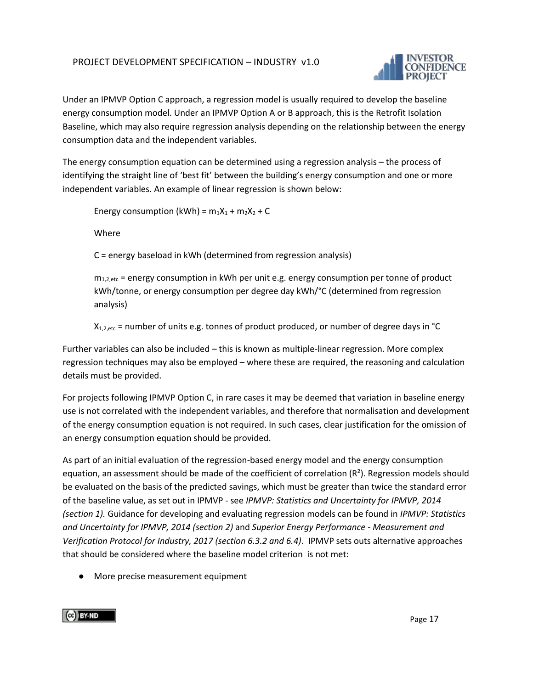

Under an IPMVP Option C approach, a regression model is usually required to develop the baseline energy consumption model. Under an IPMVP Option A or B approach, this is the Retrofit Isolation Baseline, which may also require regression analysis depending on the relationship between the energy consumption data and the independent variables.

The energy consumption equation can be determined using a regression analysis – the process of identifying the straight line of 'best fit' between the building's energy consumption and one or more independent variables. An example of linear regression is shown below:

Energy consumption (kWh) =  $m_1X_1 + m_2X_2 + C$ 

Where

C = energy baseload in kWh (determined from regression analysis)

 $m_{1,2,\text{etc}}$  = energy consumption in kWh per unit e.g. energy consumption per tonne of product kWh/tonne, or energy consumption per degree day kWh/°C (determined from regression analysis)

 $X_{1,2,etc}$  = number of units e.g. tonnes of product produced, or number of degree days in °C

Further variables can also be included – this is known as multiple-linear regression. More complex regression techniques may also be employed – where these are required, the reasoning and calculation details must be provided.

For projects following IPMVP Option C, in rare cases it may be deemed that variation in baseline energy use is not correlated with the independent variables, and therefore that normalisation and development of the energy consumption equation is not required. In such cases, clear justification for the omission of an energy consumption equation should be provided.

As part of an initial evaluation of the regression-based energy model and the energy consumption equation, an assessment should be made of the coefficient of correlation  $(R^2)$ . Regression models should be evaluated on the basis of the predicted savings, which must be greater than twice the standard error of the baseline value, as set out in IPMVP - see *IPMVP: Statistics and Uncertainty for IPMVP, 2014 (section 1).* Guidance for developing and evaluating regression models can be found in *IPMVP: Statistics and Uncertainty for IPMVP, 2014 (section 2)* and *Superior Energy Performance - Measurement and Verification Protocol for Industry, 2017 (section 6.3.2 and 6.4)*. IPMVP sets outs alternative approaches that should be considered where the baseline model criterion is not met:

● More precise measurement equipment

## **CG BY ND**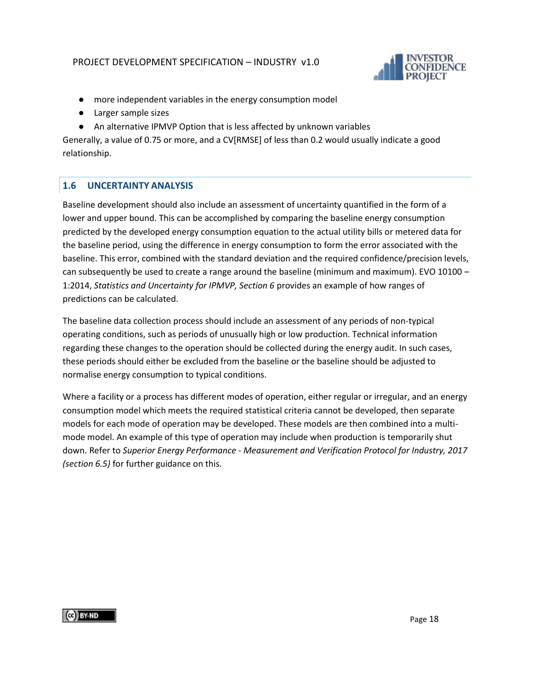

- more independent variables in the energy consumption model
- Larger sample sizes
- An alternative IPMVP Option that is less affected by unknown variables

Generally, a value of 0.75 or more, and a CV[RMSE] of less than 0.2 would usually indicate a good relationship.

## <span id="page-17-0"></span>**1.6 UNCERTAINTY ANALYSIS**

Baseline development should also include an assessment of uncertainty quantified in the form of a lower and upper bound. This can be accomplished by comparing the baseline energy consumption predicted by the developed energy consumption equation to the actual utility bills or metered data for the baseline period, using the difference in energy consumption to form the error associated with the baseline. This error, combined with the standard deviation and the required confidence/precision levels, can subsequently be used to create a range around the baseline (minimum and maximum). EVO 10100 – 1:2014, *Statistics and Uncertainty for IPMVP, Section 6* provides an example of how ranges of predictions can be calculated.

The baseline data collection process should include an assessment of any periods of non-typical operating conditions, such as periods of unusually high or low production. Technical information regarding these changes to the operation should be collected during the energy audit. In such cases, these periods should either be excluded from the baseline or the baseline should be adjusted to normalise energy consumption to typical conditions.

Where a facility or a process has different modes of operation, either regular or irregular, and an energy consumption model which meets the required statistical criteria cannot be developed, then separate models for each mode of operation may be developed. These models are then combined into a multimode model. An example of this type of operation may include when production is temporarily shut down. Refer to *Superior Energy Performance - Measurement and Verification Protocol for Industry, 2017 (section 6.5)* for further guidance on this.

**CO** BY-ND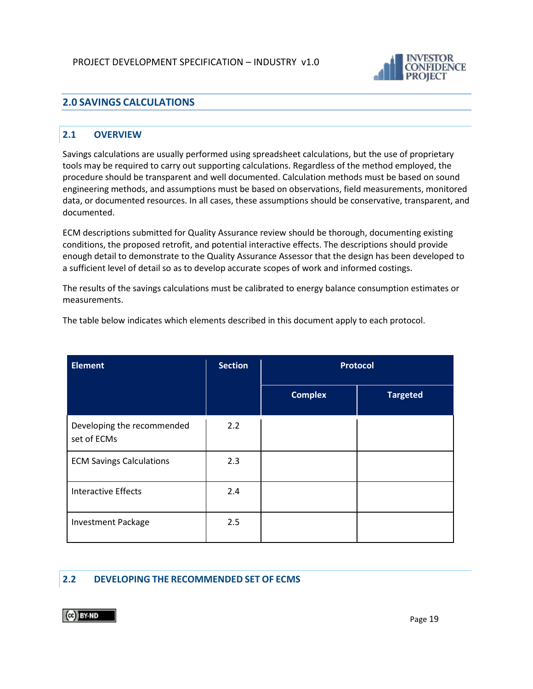

# <span id="page-18-0"></span>**2.0 SAVINGS CALCULATIONS**

#### <span id="page-18-1"></span>**2.1 OVERVIEW**

Savings calculations are usually performed using spreadsheet calculations, but the use of proprietary tools may be required to carry out supporting calculations. Regardless of the method employed, the procedure should be transparent and well documented. Calculation methods must be based on sound engineering methods, and assumptions must be based on observations, field measurements, monitored data, or documented resources. In all cases, these assumptions should be conservative, transparent, and documented.

ECM descriptions submitted for Quality Assurance review should be thorough, documenting existing conditions, the proposed retrofit, and potential interactive effects. The descriptions should provide enough detail to demonstrate to the Quality Assurance Assessor that the design has been developed to a sufficient level of detail so as to develop accurate scopes of work and informed costings.

The results of the savings calculations must be calibrated to energy balance consumption estimates or measurements.

| <b>Element</b>                            | <b>Section</b> | <b>Protocol</b> |                 |  |
|-------------------------------------------|----------------|-----------------|-----------------|--|
|                                           |                | <b>Complex</b>  | <b>Targeted</b> |  |
| Developing the recommended<br>set of ECMs | 2.2            |                 |                 |  |
| <b>ECM Savings Calculations</b>           | 2.3            |                 |                 |  |
| <b>Interactive Effects</b>                | 2.4            |                 |                 |  |
| <b>Investment Package</b>                 | 2.5            |                 |                 |  |

The table below indicates which elements described in this document apply to each protocol.

## <span id="page-18-2"></span>**2.2 DEVELOPING THE RECOMMENDED SET OF ECMS**

**CO** BY ND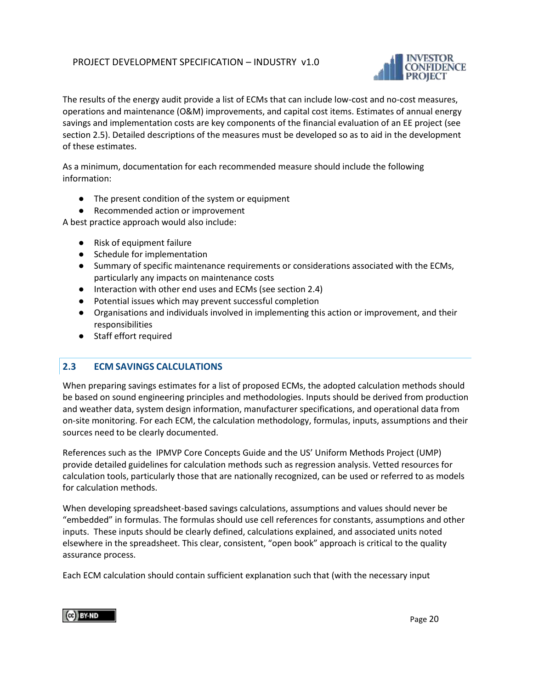

The results of the energy audit provide a list of ECMs that can include low-cost and no-cost measures, operations and maintenance (O&M) improvements, and capital cost items. Estimates of annual energy savings and implementation costs are key components of the financial evaluation of an EE project (see section 2.5). Detailed descriptions of the measures must be developed so as to aid in the development of these estimates.

As a minimum, documentation for each recommended measure should include the following information:

- The present condition of the system or equipment
- Recommended action or improvement

A best practice approach would also include:

- Risk of equipment failure
- Schedule for implementation
- Summary of specific maintenance requirements or considerations associated with the ECMs, particularly any impacts on maintenance costs
- Interaction with other end uses and ECMs (see section 2.4)
- Potential issues which may prevent successful completion
- Organisations and individuals involved in implementing this action or improvement, and their responsibilities
- Staff effort required

## <span id="page-19-0"></span>**2.3 ECM SAVINGS CALCULATIONS**

When preparing savings estimates for a list of proposed ECMs, the adopted calculation methods should be based on sound engineering principles and methodologies. Inputs should be derived from production and weather data, system design information, manufacturer specifications, and operational data from on-site monitoring. For each ECM, the calculation methodology, formulas, inputs, assumptions and their sources need to be clearly documented.

References such as the IPMVP Core Concepts Guide and the US' Uniform Methods Project (UMP) provide detailed guidelines for calculation methods such as regression analysis. Vetted resources for calculation tools, particularly those that are nationally recognized, can be used or referred to as models for calculation methods.

When developing spreadsheet-based savings calculations, assumptions and values should never be "embedded" in formulas. The formulas should use cell references for constants, assumptions and other inputs. These inputs should be clearly defined, calculations explained, and associated units noted elsewhere in the spreadsheet. This clear, consistent, "open book" approach is critical to the quality assurance process.

Each ECM calculation should contain sufficient explanation such that (with the necessary input

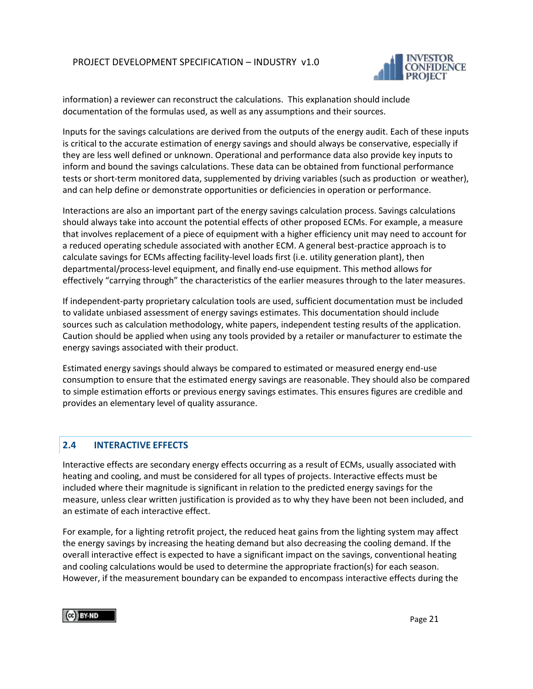

information) a reviewer can reconstruct the calculations. This explanation should include documentation of the formulas used, as well as any assumptions and their sources.

Inputs for the savings calculations are derived from the outputs of the energy audit. Each of these inputs is critical to the accurate estimation of energy savings and should always be conservative, especially if they are less well defined or unknown. Operational and performance data also provide key inputs to inform and bound the savings calculations. These data can be obtained from functional performance tests or short-term monitored data, supplemented by driving variables (such as production or weather), and can help define or demonstrate opportunities or deficiencies in operation or performance.

Interactions are also an important part of the energy savings calculation process. Savings calculations should always take into account the potential effects of other proposed ECMs. For example, a measure that involves replacement of a piece of equipment with a higher efficiency unit may need to account for a reduced operating schedule associated with another ECM. A general best-practice approach is to calculate savings for ECMs affecting facility-level loads first (i.e. utility generation plant), then departmental/process-level equipment, and finally end-use equipment. This method allows for effectively "carrying through" the characteristics of the earlier measures through to the later measures.

If independent-party proprietary calculation tools are used, sufficient documentation must be included to validate unbiased assessment of energy savings estimates. This documentation should include sources such as calculation methodology, white papers, independent testing results of the application. Caution should be applied when using any tools provided by a retailer or manufacturer to estimate the energy savings associated with their product.

Estimated energy savings should always be compared to estimated or measured energy end-use consumption to ensure that the estimated energy savings are reasonable. They should also be compared to simple estimation efforts or previous energy savings estimates. This ensures figures are credible and provides an elementary level of quality assurance.

#### <span id="page-20-0"></span>**2.4 INTERACTIVE EFFECTS**

Interactive effects are secondary energy effects occurring as a result of ECMs, usually associated with heating and cooling, and must be considered for all types of projects. Interactive effects must be included where their magnitude is significant in relation to the predicted energy savings for the measure, unless clear written justification is provided as to why they have been not been included, and an estimate of each interactive effect.

For example, for a lighting retrofit project, the reduced heat gains from the lighting system may affect the energy savings by increasing the heating demand but also decreasing the cooling demand. If the overall interactive effect is expected to have a significant impact on the savings, conventional heating and cooling calculations would be used to determine the appropriate fraction(s) for each season. However, if the measurement boundary can be expanded to encompass interactive effects during the

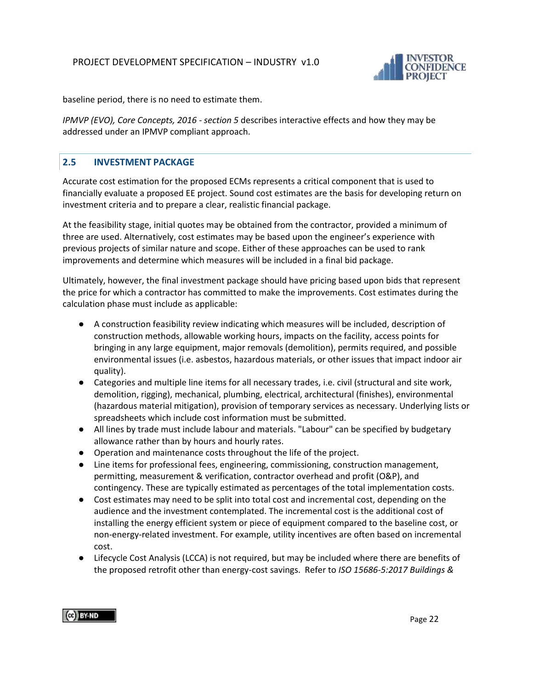

baseline period, there is no need to estimate them.

*IPMVP (EVO), Core Concepts, 2016 - section 5* describes interactive effects and how they may be addressed under an IPMVP compliant approach.

#### <span id="page-21-0"></span>**2.5 INVESTMENT PACKAGE**

Accurate cost estimation for the proposed ECMs represents a critical component that is used to financially evaluate a proposed EE project. Sound cost estimates are the basis for developing return on investment criteria and to prepare a clear, realistic financial package.

At the feasibility stage, initial quotes may be obtained from the contractor, provided a minimum of three are used. Alternatively, cost estimates may be based upon the engineer's experience with previous projects of similar nature and scope. Either of these approaches can be used to rank improvements and determine which measures will be included in a final bid package.

Ultimately, however, the final investment package should have pricing based upon bids that represent the price for which a contractor has committed to make the improvements. Cost estimates during the calculation phase must include as applicable:

- A construction feasibility review indicating which measures will be included, description of construction methods, allowable working hours, impacts on the facility, access points for bringing in any large equipment, major removals (demolition), permits required, and possible environmental issues (i.e. asbestos, hazardous materials, or other issues that impact indoor air quality).
- Categories and multiple line items for all necessary trades, i.e. civil (structural and site work, demolition, rigging), mechanical, plumbing, electrical, architectural (finishes), environmental (hazardous material mitigation), provision of temporary services as necessary. Underlying lists or spreadsheets which include cost information must be submitted.
- All lines by trade must include labour and materials. "Labour" can be specified by budgetary allowance rather than by hours and hourly rates.
- Operation and maintenance costs throughout the life of the project.
- Line items for professional fees, engineering, commissioning, construction management, permitting, measurement & verification, contractor overhead and profit (O&P), and contingency. These are typically estimated as percentages of the total implementation costs.
- Cost estimates may need to be split into total cost and incremental cost, depending on the audience and the investment contemplated. The incremental cost is the additional cost of installing the energy efficient system or piece of equipment compared to the baseline cost, or non-energy-related investment. For example, utility incentives are often based on incremental cost.
- Lifecycle Cost Analysis (LCCA) is not required, but may be included where there are benefits of the proposed retrofit other than energy-cost savings. Refer to *ISO 15686-5:2017 Buildings &*

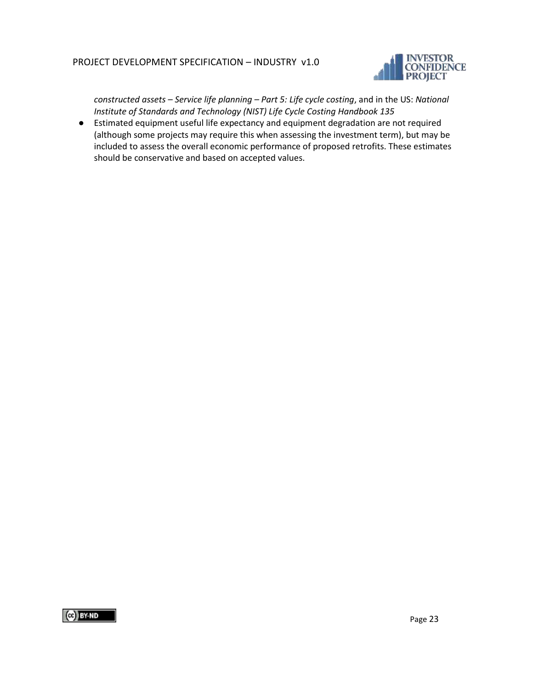

*constructed assets – Service life planning – Part 5: Life cycle costing*, and in the US: *National Institute of Standards and Technology (NIST) Life Cycle Costing Handbook 135*

● Estimated equipment useful life expectancy and equipment degradation are not required (although some projects may require this when assessing the investment term), but may be included to assess the overall economic performance of proposed retrofits. These estimates should be conservative and based on accepted values.

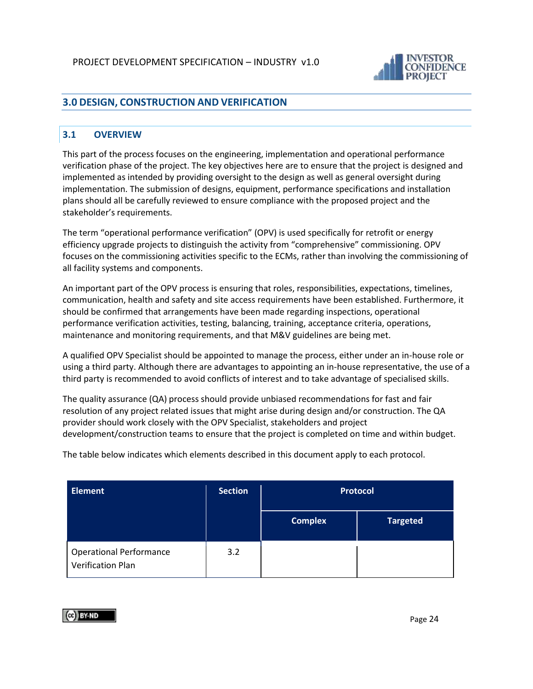

# <span id="page-23-0"></span>**3.0 DESIGN, CONSTRUCTION AND VERIFICATION**

#### <span id="page-23-1"></span>**3.1 OVERVIEW**

This part of the process focuses on the engineering, implementation and operational performance verification phase of the project. The key objectives here are to ensure that the project is designed and implemented as intended by providing oversight to the design as well as general oversight during implementation. The submission of designs, equipment, performance specifications and installation plans should all be carefully reviewed to ensure compliance with the proposed project and the stakeholder's requirements.

The term "operational performance verification" (OPV) is used specifically for retrofit or energy efficiency upgrade projects to distinguish the activity from "comprehensive" commissioning. OPV focuses on the commissioning activities specific to the ECMs, rather than involving the commissioning of all facility systems and components.

An important part of the OPV process is ensuring that roles, responsibilities, expectations, timelines, communication, health and safety and site access requirements have been established. Furthermore, it should be confirmed that arrangements have been made regarding inspections, operational performance verification activities, testing, balancing, training, acceptance criteria, operations, maintenance and monitoring requirements, and that M&V guidelines are being met.

A qualified OPV Specialist should be appointed to manage the process, either under an in-house role or using a third party. Although there are advantages to appointing an in-house representative, the use of a third party is recommended to avoid conflicts of interest and to take advantage of specialised skills.

The quality assurance (QA) process should provide unbiased recommendations for fast and fair resolution of any project related issues that might arise during design and/or construction. The QA provider should work closely with the OPV Specialist, stakeholders and project development/construction teams to ensure that the project is completed on time and within budget.

| <b>Element</b>                                             | <b>Section</b> | <b>Protocol</b> |                 |  |
|------------------------------------------------------------|----------------|-----------------|-----------------|--|
|                                                            |                | <b>Complex</b>  | <b>Targeted</b> |  |
| <b>Operational Performance</b><br><b>Verification Plan</b> | 3.2            |                 |                 |  |

The table below indicates which elements described in this document apply to each protocol.

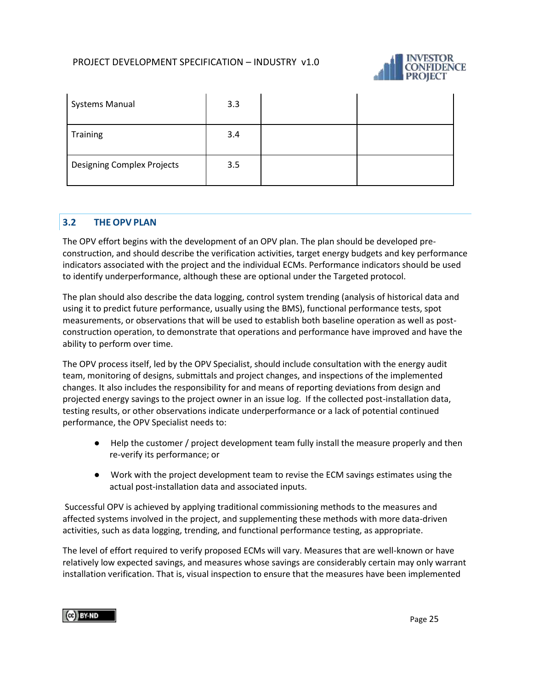

| <b>Systems Manual</b>             | 3.3 |  |
|-----------------------------------|-----|--|
| Training                          | 3.4 |  |
| <b>Designing Complex Projects</b> | 3.5 |  |

## <span id="page-24-0"></span>**3.2 THE OPV PLAN**

The OPV effort begins with the development of an OPV plan. The plan should be developed preconstruction, and should describe the verification activities, target energy budgets and key performance indicators associated with the project and the individual ECMs. Performance indicators should be used to identify underperformance, although these are optional under the Targeted protocol.

The plan should also describe the data logging, control system trending (analysis of historical data and using it to predict future performance, usually using the BMS), functional performance tests, spot measurements, or observations that will be used to establish both baseline operation as well as postconstruction operation, to demonstrate that operations and performance have improved and have the ability to perform over time.

The OPV process itself, led by the OPV Specialist, should include consultation with the energy audit team, monitoring of designs, submittals and project changes, and inspections of the implemented changes. It also includes the responsibility for and means of reporting deviations from design and projected energy savings to the project owner in an issue log. If the collected post-installation data, testing results, or other observations indicate underperformance or a lack of potential continued performance, the OPV Specialist needs to:

- Help the customer / project development team fully install the measure properly and then re-verify its performance; or
- Work with the project development team to revise the ECM savings estimates using the actual post-installation data and associated inputs.

Successful OPV is achieved by applying traditional commissioning methods to the measures and affected systems involved in the project, and supplementing these methods with more data-driven activities, such as data logging, trending, and functional performance testing, as appropriate.

The level of effort required to verify proposed ECMs will vary. Measures that are well-known or have relatively low expected savings, and measures whose savings are considerably certain may only warrant installation verification. That is, visual inspection to ensure that the measures have been implemented

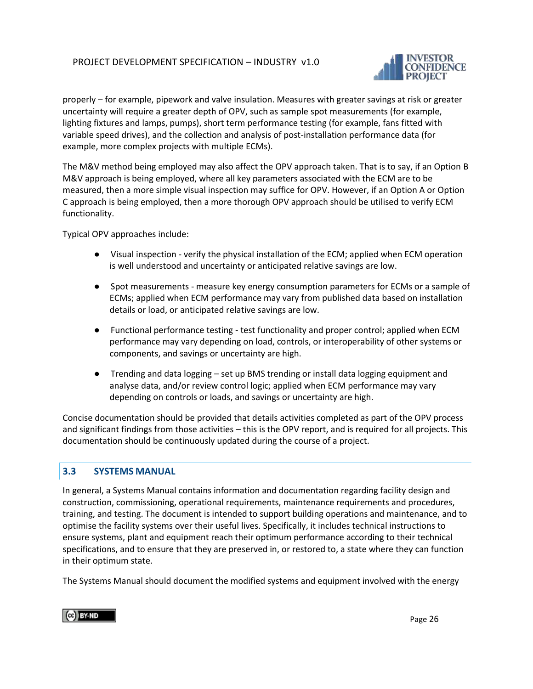

properly – for example, pipework and valve insulation. Measures with greater savings at risk or greater uncertainty will require a greater depth of OPV, such as sample spot measurements (for example, lighting fixtures and lamps, pumps), short term performance testing (for example, fans fitted with variable speed drives), and the collection and analysis of post-installation performance data (for example, more complex projects with multiple ECMs).

The M&V method being employed may also affect the OPV approach taken. That is to say, if an Option B M&V approach is being employed, where all key parameters associated with the ECM are to be measured, then a more simple visual inspection may suffice for OPV. However, if an Option A or Option C approach is being employed, then a more thorough OPV approach should be utilised to verify ECM functionality.

Typical OPV approaches include:

- Visual inspection verify the physical installation of the ECM; applied when ECM operation is well understood and uncertainty or anticipated relative savings are low.
- Spot measurements measure key energy consumption parameters for ECMs or a sample of ECMs; applied when ECM performance may vary from published data based on installation details or load, or anticipated relative savings are low.
- Functional performance testing test functionality and proper control; applied when ECM performance may vary depending on load, controls, or interoperability of other systems or components, and savings or uncertainty are high.
- Trending and data logging set up BMS trending or install data logging equipment and analyse data, and/or review control logic; applied when ECM performance may vary depending on controls or loads, and savings or uncertainty are high.

Concise documentation should be provided that details activities completed as part of the OPV process and significant findings from those activities – this is the OPV report, and is required for all projects. This documentation should be continuously updated during the course of a project.

## <span id="page-25-0"></span>**3.3 SYSTEMS MANUAL**

In general, a Systems Manual contains information and documentation regarding facility design and construction, commissioning, operational requirements, maintenance requirements and procedures, training, and testing. The document is intended to support building operations and maintenance, and to optimise the facility systems over their useful lives. Specifically, it includes technical instructions to ensure systems, plant and equipment reach their optimum performance according to their technical specifications, and to ensure that they are preserved in, or restored to, a state where they can function in their optimum state.

The Systems Manual should document the modified systems and equipment involved with the energy

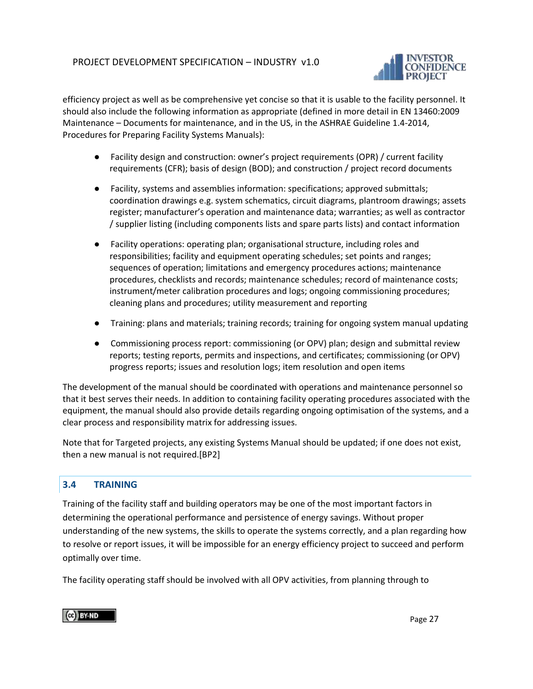

efficiency project as well as be comprehensive yet concise so that it is usable to the facility personnel. It should also include the following information as appropriate (defined in more detail in EN 13460:2009 Maintenance – Documents for maintenance, and in the US, in the ASHRAE Guideline 1.4-2014, Procedures for Preparing Facility Systems Manuals):

- Facility design and construction: owner's project requirements (OPR) / current facility requirements (CFR); basis of design (BOD); and construction / project record documents
- Facility, systems and assemblies information: specifications; approved submittals; coordination drawings e.g. system schematics, circuit diagrams, plantroom drawings; assets register; manufacturer's operation and maintenance data; warranties; as well as contractor / supplier listing (including components lists and spare parts lists) and contact information
- Facility operations: operating plan; organisational structure, including roles and responsibilities; facility and equipment operating schedules; set points and ranges; sequences of operation; limitations and emergency procedures actions; maintenance procedures, checklists and records; maintenance schedules; record of maintenance costs; instrument/meter calibration procedures and logs; ongoing commissioning procedures; cleaning plans and procedures; utility measurement and reporting
- Training: plans and materials; training records; training for ongoing system manual updating
- Commissioning process report: commissioning (or OPV) plan; design and submittal review reports; testing reports, permits and inspections, and certificates; commissioning (or OPV) progress reports; issues and resolution logs; item resolution and open items

The development of the manual should be coordinated with operations and maintenance personnel so that it best serves their needs. In addition to containing facility operating procedures associated with the equipment, the manual should also provide details regarding ongoing optimisation of the systems, and a clear process and responsibility matrix for addressing issues.

Note that for Targeted projects, any existing Systems Manual should be updated; if one does not exist, then a new manual is not required.[BP2]

## <span id="page-26-0"></span>**3.4 TRAINING**

Training of the facility staff and building operators may be one of the most important factors in determining the operational performance and persistence of energy savings. Without proper understanding of the new systems, the skills to operate the systems correctly, and a plan regarding how to resolve or report issues, it will be impossible for an energy efficiency project to succeed and perform optimally over time.

The facility operating staff should be involved with all OPV activities, from planning through to

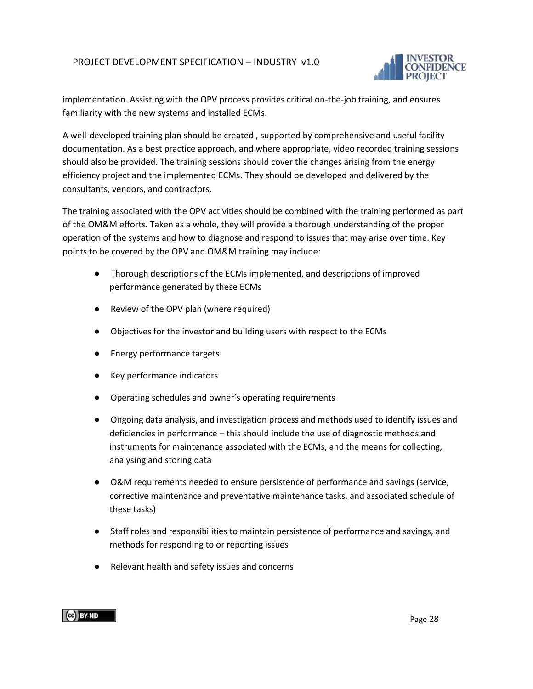

implementation. Assisting with the OPV process provides critical on-the-job training, and ensures familiarity with the new systems and installed ECMs.

A well-developed training plan should be created , supported by comprehensive and useful facility documentation. As a best practice approach, and where appropriate, video recorded training sessions should also be provided. The training sessions should cover the changes arising from the energy efficiency project and the implemented ECMs. They should be developed and delivered by the consultants, vendors, and contractors.

The training associated with the OPV activities should be combined with the training performed as part of the OM&M efforts. Taken as a whole, they will provide a thorough understanding of the proper operation of the systems and how to diagnose and respond to issues that may arise over time. Key points to be covered by the OPV and OM&M training may include:

- Thorough descriptions of the ECMs implemented, and descriptions of improved performance generated by these ECMs
- Review of the OPV plan (where required)
- Objectives for the investor and building users with respect to the ECMs
- Energy performance targets
- Key performance indicators
- Operating schedules and owner's operating requirements
- Ongoing data analysis, and investigation process and methods used to identify issues and deficiencies in performance – this should include the use of diagnostic methods and instruments for maintenance associated with the ECMs, and the means for collecting, analysing and storing data
- O&M requirements needed to ensure persistence of performance and savings (service, corrective maintenance and preventative maintenance tasks, and associated schedule of these tasks)
- Staff roles and responsibilities to maintain persistence of performance and savings, and methods for responding to or reporting issues
- Relevant health and safety issues and concerns

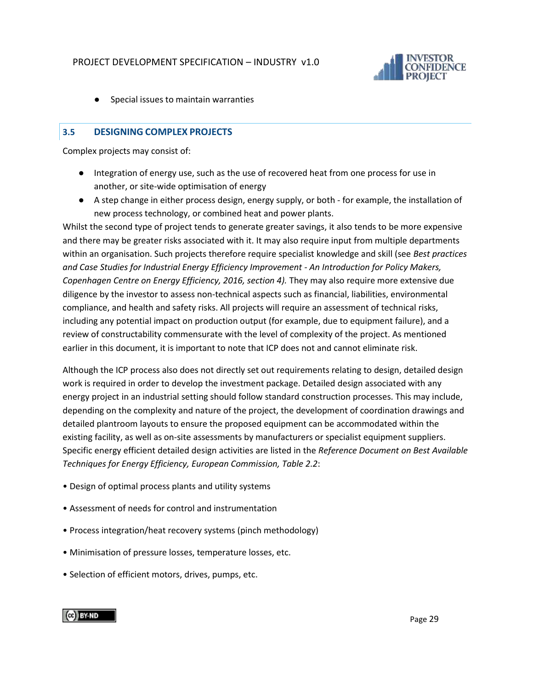

● Special issues to maintain warranties

#### <span id="page-28-0"></span>**3.5 DESIGNING COMPLEX PROJECTS**

Complex projects may consist of:

- Integration of energy use, such as the use of recovered heat from one process for use in another, or site-wide optimisation of energy
- A step change in either process design, energy supply, or both for example, the installation of new process technology, or combined heat and power plants.

Whilst the second type of project tends to generate greater savings, it also tends to be more expensive and there may be greater risks associated with it. It may also require input from multiple departments within an organisation. Such projects therefore require specialist knowledge and skill (see *Best practices and Case Studies for Industrial Energy Efficiency Improvement - An Introduction for Policy Makers, Copenhagen Centre on Energy Efficiency, 2016, section 4).* They may also require more extensive due diligence by the investor to assess non-technical aspects such as financial, liabilities, environmental compliance, and health and safety risks. All projects will require an assessment of technical risks, including any potential impact on production output (for example, due to equipment failure), and a review of constructability commensurate with the level of complexity of the project. As mentioned earlier in this document, it is important to note that ICP does not and cannot eliminate risk.

Although the ICP process also does not directly set out requirements relating to design, detailed design work is required in order to develop the investment package. Detailed design associated with any energy project in an industrial setting should follow standard construction processes. This may include, depending on the complexity and nature of the project, the development of coordination drawings and detailed plantroom layouts to ensure the proposed equipment can be accommodated within the existing facility, as well as on-site assessments by manufacturers or specialist equipment suppliers. Specific energy efficient detailed design activities are listed in the *Reference Document on Best Available Techniques for Energy Efficiency, European Commission, Table 2.2*:

- Design of optimal process plants and utility systems
- Assessment of needs for control and instrumentation
- Process integration/heat recovery systems (pinch methodology)
- Minimisation of pressure losses, temperature losses, etc.
- Selection of efficient motors, drives, pumps, etc.

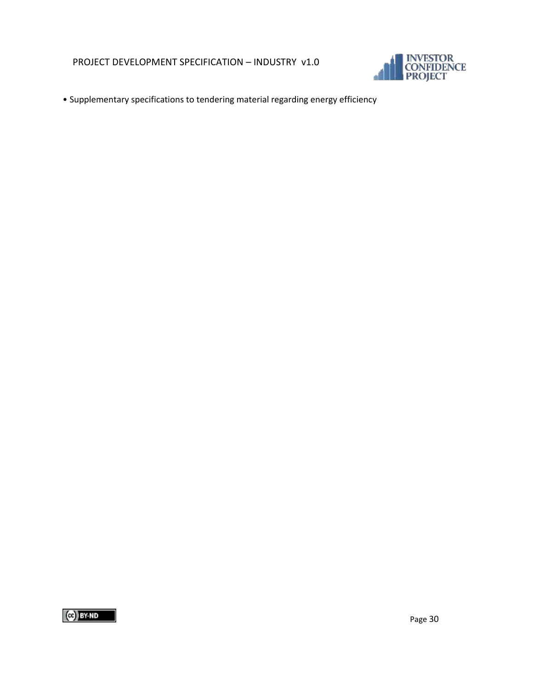

• Supplementary specifications to tendering material regarding energy efficiency

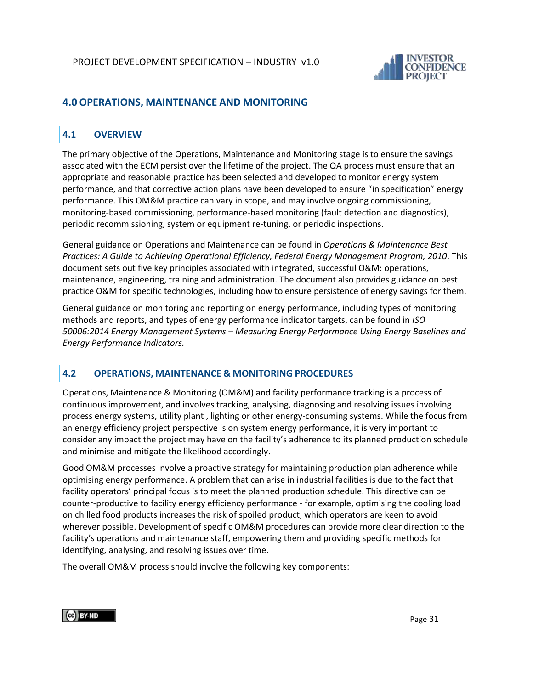

# <span id="page-30-0"></span>**4.0 OPERATIONS, MAINTENANCE AND MONITORING**

#### <span id="page-30-1"></span>**4.1 OVERVIEW**

The primary objective of the Operations, Maintenance and Monitoring stage is to ensure the savings associated with the ECM persist over the lifetime of the project. The QA process must ensure that an appropriate and reasonable practice has been selected and developed to monitor energy system performance, and that corrective action plans have been developed to ensure "in specification" energy performance. This OM&M practice can vary in scope, and may involve ongoing commissioning, monitoring-based commissioning, performance-based monitoring (fault detection and diagnostics), periodic recommissioning, system or equipment re-tuning, or periodic inspections.

General guidance on Operations and Maintenance can be found in *Operations & Maintenance Best Practices: A Guide to Achieving Operational Efficiency, Federal Energy Management Program, 2010*. This document sets out five key principles associated with integrated, successful O&M: operations, maintenance, engineering, training and administration. The document also provides guidance on best practice O&M for specific technologies, including how to ensure persistence of energy savings for them.

General guidance on monitoring and reporting on energy performance, including types of monitoring methods and reports, and types of energy performance indicator targets, can be found in *ISO 50006:2014 Energy Management Systems – Measuring Energy Performance Using Energy Baselines and Energy Performance Indicators.*

#### <span id="page-30-2"></span>**4.2 OPERATIONS, MAINTENANCE & MONITORING PROCEDURES**

Operations, Maintenance & Monitoring (OM&M) and facility performance tracking is a process of continuous improvement, and involves tracking, analysing, diagnosing and resolving issues involving process energy systems, utility plant , lighting or other energy-consuming systems. While the focus from an energy efficiency project perspective is on system energy performance, it is very important to consider any impact the project may have on the facility's adherence to its planned production schedule and minimise and mitigate the likelihood accordingly.

Good OM&M processes involve a proactive strategy for maintaining production plan adherence while optimising energy performance. A problem that can arise in industrial facilities is due to the fact that facility operators' principal focus is to meet the planned production schedule. This directive can be counter-productive to facility energy efficiency performance - for example, optimising the cooling load on chilled food products increases the risk of spoiled product, which operators are keen to avoid wherever possible. Development of specific OM&M procedures can provide more clear direction to the facility's operations and maintenance staff, empowering them and providing specific methods for identifying, analysing, and resolving issues over time.

The overall OM&M process should involve the following key components:

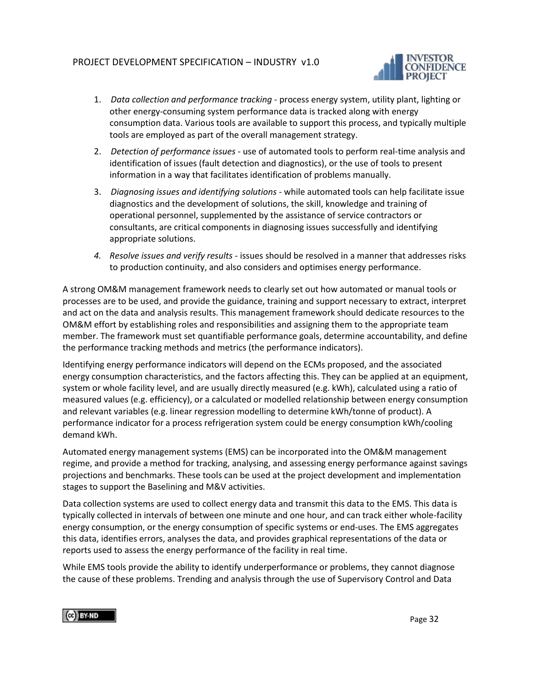

- 1. *Data collection and performance tracking* process energy system, utility plant, lighting or other energy-consuming system performance data is tracked along with energy consumption data. Various tools are available to support this process, and typically multiple tools are employed as part of the overall management strategy.
- 2. *Detection of performance issues*  use of automated tools to perform real-time analysis and identification of issues (fault detection and diagnostics), or the use of tools to present information in a way that facilitates identification of problems manually.
- 3. *Diagnosing issues and identifying solutions* while automated tools can help facilitate issue diagnostics and the development of solutions, the skill, knowledge and training of operational personnel, supplemented by the assistance of service contractors or consultants, are critical components in diagnosing issues successfully and identifying appropriate solutions.
- *4. Resolve issues and verify results* issues should be resolved in a manner that addresses risks to production continuity, and also considers and optimises energy performance.

A strong OM&M management framework needs to clearly set out how automated or manual tools or processes are to be used, and provide the guidance, training and support necessary to extract, interpret and act on the data and analysis results. This management framework should dedicate resources to the OM&M effort by establishing roles and responsibilities and assigning them to the appropriate team member. The framework must set quantifiable performance goals, determine accountability, and define the performance tracking methods and metrics (the performance indicators).

Identifying energy performance indicators will depend on the ECMs proposed, and the associated energy consumption characteristics, and the factors affecting this. They can be applied at an equipment, system or whole facility level, and are usually directly measured (e.g. kWh), calculated using a ratio of measured values (e.g. efficiency), or a calculated or modelled relationship between energy consumption and relevant variables (e.g. linear regression modelling to determine kWh/tonne of product). A performance indicator for a process refrigeration system could be energy consumption kWh/cooling demand kWh.

Automated energy management systems (EMS) can be incorporated into the OM&M management regime, and provide a method for tracking, analysing, and assessing energy performance against savings projections and benchmarks. These tools can be used at the project development and implementation stages to support the Baselining and M&V activities.

Data collection systems are used to collect energy data and transmit this data to the EMS. This data is typically collected in intervals of between one minute and one hour, and can track either whole-facility energy consumption, or the energy consumption of specific systems or end-uses. The EMS aggregates this data, identifies errors, analyses the data, and provides graphical representations of the data or reports used to assess the energy performance of the facility in real time.

While EMS tools provide the ability to identify underperformance or problems, they cannot diagnose the cause of these problems. Trending and analysis through the use of Supervisory Control and Data

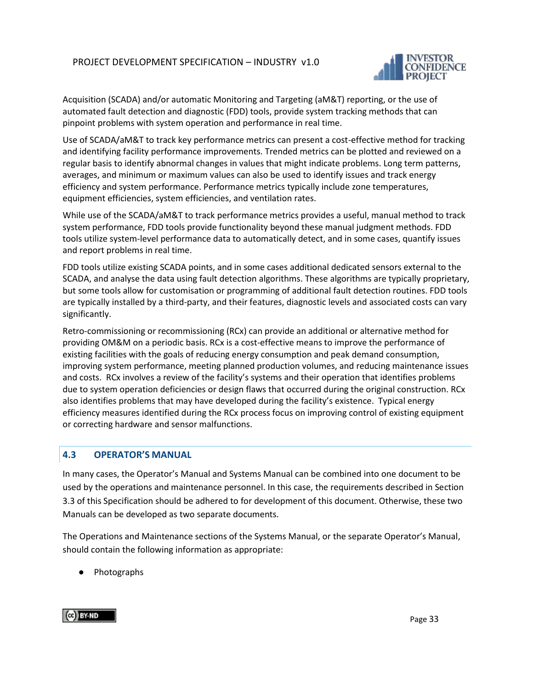

Acquisition (SCADA) and/or automatic Monitoring and Targeting (aM&T) reporting, or the use of automated fault detection and diagnostic (FDD) tools, provide system tracking methods that can pinpoint problems with system operation and performance in real time.

Use of SCADA/aM&T to track key performance metrics can present a cost-effective method for tracking and identifying facility performance improvements. Trended metrics can be plotted and reviewed on a regular basis to identify abnormal changes in values that might indicate problems. Long term patterns, averages, and minimum or maximum values can also be used to identify issues and track energy efficiency and system performance. Performance metrics typically include zone temperatures, equipment efficiencies, system efficiencies, and ventilation rates.

While use of the SCADA/aM&T to track performance metrics provides a useful, manual method to track system performance, FDD tools provide functionality beyond these manual judgment methods. FDD tools utilize system-level performance data to automatically detect, and in some cases, quantify issues and report problems in real time.

FDD tools utilize existing SCADA points, and in some cases additional dedicated sensors external to the SCADA, and analyse the data using fault detection algorithms. These algorithms are typically proprietary, but some tools allow for customisation or programming of additional fault detection routines. FDD tools are typically installed by a third-party, and their features, diagnostic levels and associated costs can vary significantly.

Retro-commissioning or recommissioning (RCx) can provide an additional or alternative method for providing OM&M on a periodic basis. RCx is a cost-effective means to improve the performance of existing facilities with the goals of reducing energy consumption and peak demand consumption, improving system performance, meeting planned production volumes, and reducing maintenance issues and costs. RCx involves a review of the facility's systems and their operation that identifies problems due to system operation deficiencies or design flaws that occurred during the original construction. RCx also identifies problems that may have developed during the facility's existence. Typical energy efficiency measures identified during the RCx process focus on improving control of existing equipment or correcting hardware and sensor malfunctions.

#### <span id="page-32-0"></span>**4.3 OPERATOR'S MANUAL**

In many cases, the Operator's Manual and Systems Manual can be combined into one document to be used by the operations and maintenance personnel. In this case, the requirements described in Section 3.3 of this Specification should be adhered to for development of this document. Otherwise, these two Manuals can be developed as two separate documents.

The Operations and Maintenance sections of the Systems Manual, or the separate Operator's Manual, should contain the following information as appropriate:

**Photographs** 

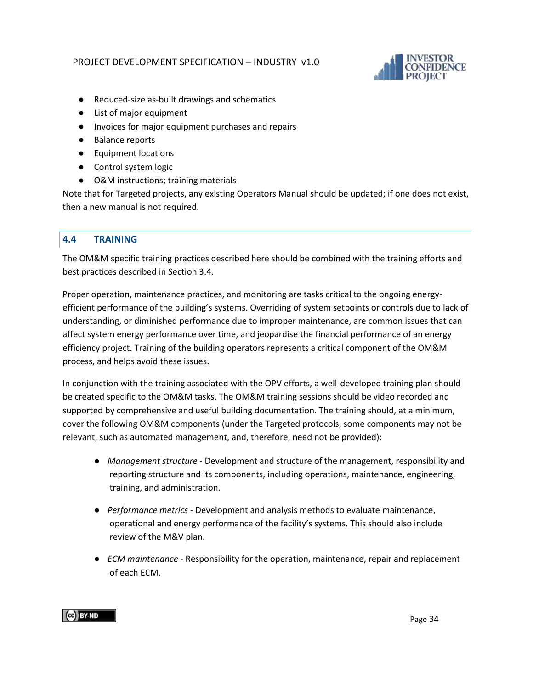

- Reduced-size as-built drawings and schematics
- List of major equipment
- Invoices for major equipment purchases and repairs
- Balance reports
- Equipment locations
- Control system logic
- O&M instructions; training materials

Note that for Targeted projects, any existing Operators Manual should be updated; if one does not exist, then a new manual is not required.

#### <span id="page-33-0"></span>**4.4 TRAINING**

The OM&M specific training practices described here should be combined with the training efforts and best practices described in Section 3.4.

Proper operation, maintenance practices, and monitoring are tasks critical to the ongoing energyefficient performance of the building's systems. Overriding of system setpoints or controls due to lack of understanding, or diminished performance due to improper maintenance, are common issues that can affect system energy performance over time, and jeopardise the financial performance of an energy efficiency project. Training of the building operators represents a critical component of the OM&M process, and helps avoid these issues.

In conjunction with the training associated with the OPV efforts, a well-developed training plan should be created specific to the OM&M tasks. The OM&M training sessions should be video recorded and supported by comprehensive and useful building documentation. The training should, at a minimum, cover the following OM&M components (under the Targeted protocols, some components may not be relevant, such as automated management, and, therefore, need not be provided):

- *Management structure* Development and structure of the management, responsibility and reporting structure and its components, including operations, maintenance, engineering, training, and administration.
- *Performance metrics* Development and analysis methods to evaluate maintenance, operational and energy performance of the facility's systems. This should also include review of the M&V plan.
- *ECM maintenance* Responsibility for the operation, maintenance, repair and replacement of each ECM.

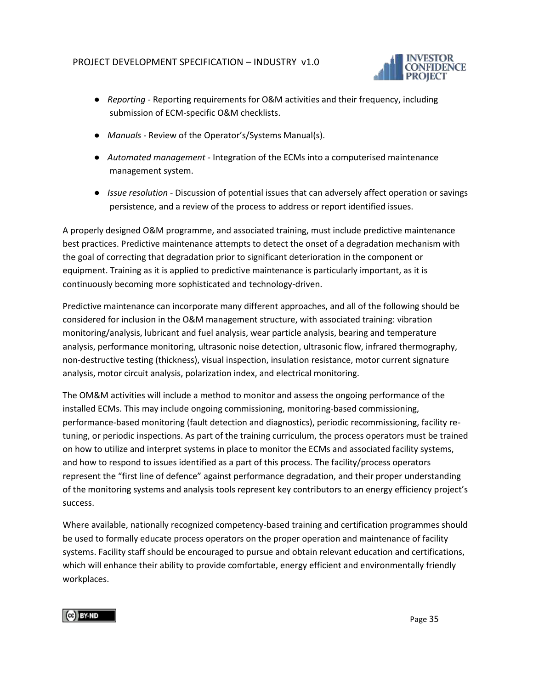

- *Reporting*  Reporting requirements for O&M activities and their frequency, including submission of ECM-specific O&M checklists.
- *Manuals*  Review of the Operator's/Systems Manual(s).
- *Automated management* Integration of the ECMs into a computerised maintenance management system.
- *Issue resolution* Discussion of potential issues that can adversely affect operation or savings persistence, and a review of the process to address or report identified issues.

A properly designed O&M programme, and associated training, must include predictive maintenance best practices. Predictive maintenance attempts to detect the onset of a degradation mechanism with the goal of correcting that degradation prior to significant deterioration in the component or equipment. Training as it is applied to predictive maintenance is particularly important, as it is continuously becoming more sophisticated and technology-driven.

Predictive maintenance can incorporate many different approaches, and all of the following should be considered for inclusion in the O&M management structure, with associated training: vibration monitoring/analysis, lubricant and fuel analysis, wear particle analysis, bearing and temperature analysis, performance monitoring, ultrasonic noise detection, ultrasonic flow, infrared thermography, non-destructive testing (thickness), visual inspection, insulation resistance, motor current signature analysis, motor circuit analysis, polarization index, and electrical monitoring.

The OM&M activities will include a method to monitor and assess the ongoing performance of the installed ECMs. This may include ongoing commissioning, monitoring-based commissioning, performance-based monitoring (fault detection and diagnostics), periodic recommissioning, facility retuning, or periodic inspections. As part of the training curriculum, the process operators must be trained on how to utilize and interpret systems in place to monitor the ECMs and associated facility systems, and how to respond to issues identified as a part of this process. The facility/process operators represent the "first line of defence" against performance degradation, and their proper understanding of the monitoring systems and analysis tools represent key contributors to an energy efficiency project's success.

Where available, nationally recognized competency-based training and certification programmes should be used to formally educate process operators on the proper operation and maintenance of facility systems. Facility staff should be encouraged to pursue and obtain relevant education and certifications, which will enhance their ability to provide comfortable, energy efficient and environmentally friendly workplaces.

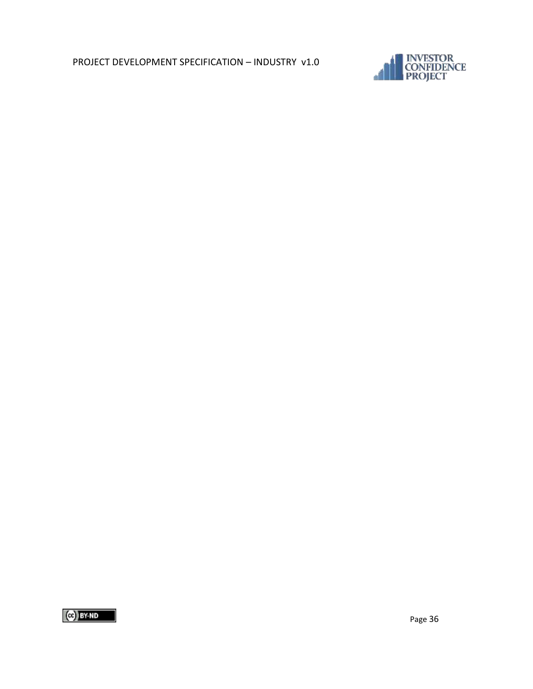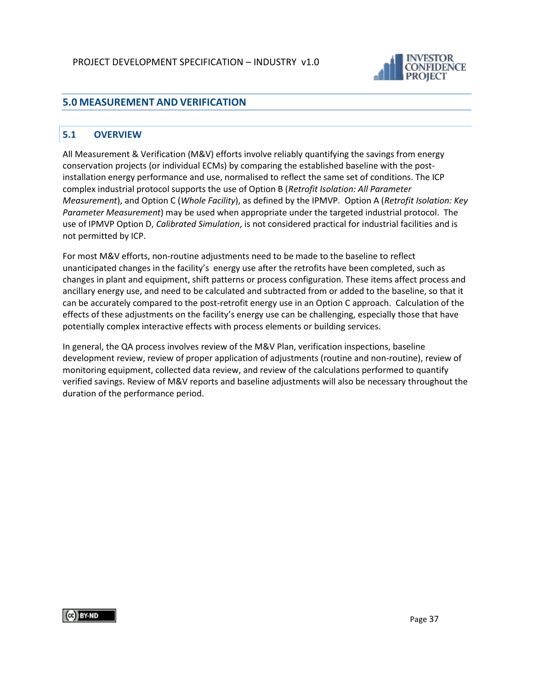

# <span id="page-36-0"></span>**5.0 MEASUREMENT AND VERIFICATION**

#### <span id="page-36-1"></span>**5.1 OVERVIEW**

All Measurement & Verification (M&V) efforts involve reliably quantifying the savings from energy conservation projects (or individual ECMs) by comparing the established baseline with the postinstallation energy performance and use, normalised to reflect the same set of conditions. The ICP complex industrial protocol supports the use of Option B (*Retrofit Isolation: All Parameter Measurement*), and Option C (*Whole Facility*), as defined by the IPMVP. Option A (*Retrofit Isolation: Key Parameter Measurement*) may be used when appropriate under the targeted industrial protocol. The use of IPMVP Option D, *Calibrated Simulation*, is not considered practical for industrial facilities and is not permitted by ICP.

For most M&V efforts, non-routine adjustments need to be made to the baseline to reflect unanticipated changes in the facility's energy use after the retrofits have been completed, such as changes in plant and equipment, shift patterns or process configuration. These items affect process and ancillary energy use, and need to be calculated and subtracted from or added to the baseline, so that it can be accurately compared to the post-retrofit energy use in an Option C approach. Calculation of the effects of these adjustments on the facility's energy use can be challenging, especially those that have potentially complex interactive effects with process elements or building services.

In general, the QA process involves review of the M&V Plan, verification inspections, baseline development review, review of proper application of adjustments (routine and non-routine), review of monitoring equipment, collected data review, and review of the calculations performed to quantify verified savings. Review of M&V reports and baseline adjustments will also be necessary throughout the duration of the performance period.

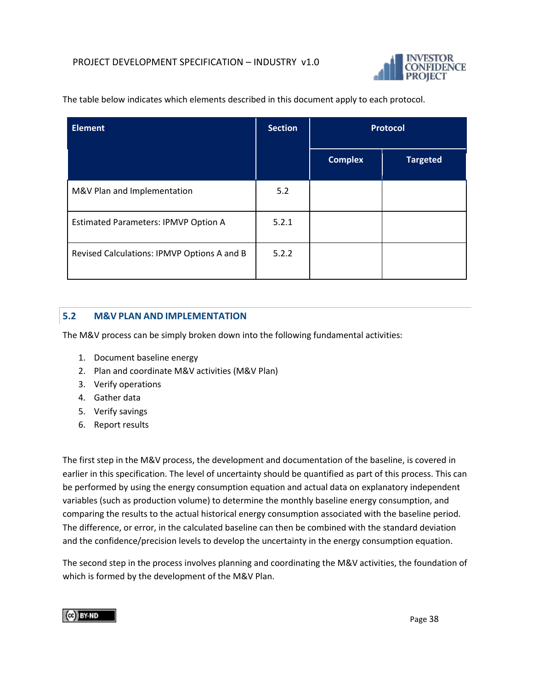

| <b>Element</b>                              | <b>Section</b> | <b>Protocol</b> |                 |
|---------------------------------------------|----------------|-----------------|-----------------|
|                                             |                | <b>Complex</b>  | <b>Targeted</b> |
| M&V Plan and Implementation                 | 5.2            |                 |                 |
| <b>Estimated Parameters: IPMVP Option A</b> | 5.2.1          |                 |                 |
| Revised Calculations: IPMVP Options A and B | 5.2.2          |                 |                 |

The table below indicates which elements described in this document apply to each protocol.

#### <span id="page-37-0"></span>**5.2 M&V PLAN AND IMPLEMENTATION**

The M&V process can be simply broken down into the following fundamental activities:

- 1. Document baseline energy
- 2. Plan and coordinate M&V activities (M&V Plan)
- 3. Verify operations
- 4. Gather data
- 5. Verify savings
- 6. Report results

The first step in the M&V process, the development and documentation of the baseline, is covered in earlier in this specification. The level of uncertainty should be quantified as part of this process. This can be performed by using the energy consumption equation and actual data on explanatory independent variables (such as production volume) to determine the monthly baseline energy consumption, and comparing the results to the actual historical energy consumption associated with the baseline period. The difference, or error, in the calculated baseline can then be combined with the standard deviation and the confidence/precision levels to develop the uncertainty in the energy consumption equation.

The second step in the process involves planning and coordinating the M&V activities, the foundation of which is formed by the development of the M&V Plan.

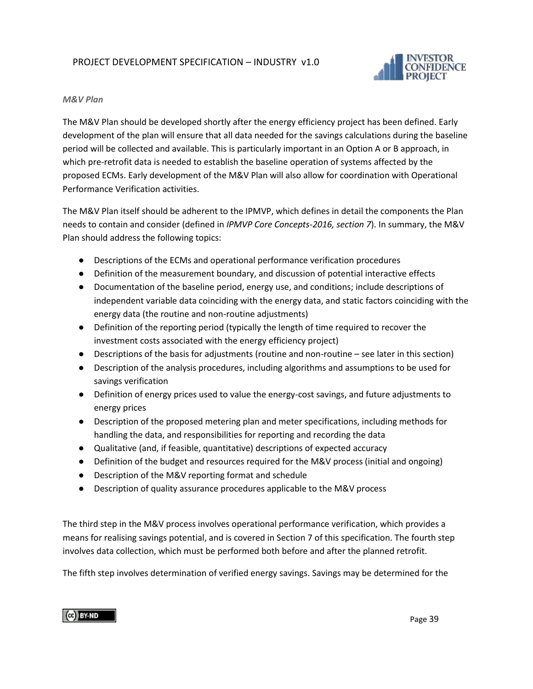

#### *M&V Plan*

The M&V Plan should be developed shortly after the energy efficiency project has been defined. Early development of the plan will ensure that all data needed for the savings calculations during the baseline period will be collected and available. This is particularly important in an Option A or B approach, in which pre-retrofit data is needed to establish the baseline operation of systems affected by the proposed ECMs. Early development of the M&V Plan will also allow for coordination with Operational Performance Verification activities.

The M&V Plan itself should be adherent to the IPMVP, which defines in detail the components the Plan needs to contain and consider (defined in *IPMVP Core Concepts-2016, section 7*). In summary, the M&V Plan should address the following topics:

- Descriptions of the ECMs and operational performance verification procedures
- Definition of the measurement boundary, and discussion of potential interactive effects
- Documentation of the baseline period, energy use, and conditions; include descriptions of independent variable data coinciding with the energy data, and static factors coinciding with the energy data (the routine and non-routine adjustments)
- Definition of the reporting period (typically the length of time required to recover the investment costs associated with the energy efficiency project)
- Descriptions of the basis for adjustments (routine and non-routine see later in this section)
- Description of the analysis procedures, including algorithms and assumptions to be used for savings verification
- Definition of energy prices used to value the energy-cost savings, and future adjustments to energy prices
- Description of the proposed metering plan and meter specifications, including methods for handling the data, and responsibilities for reporting and recording the data
- Qualitative (and, if feasible, quantitative) descriptions of expected accuracy
- Definition of the budget and resources required for the M&V process (initial and ongoing)
- Description of the M&V reporting format and schedule
- Description of quality assurance procedures applicable to the M&V process

The third step in the M&V process involves operational performance verification, which provides a means for realising savings potential, and is covered in Section 7 of this specification. The fourth step involves data collection, which must be performed both before and after the planned retrofit.

The fifth step involves determination of verified energy savings. Savings may be determined for the

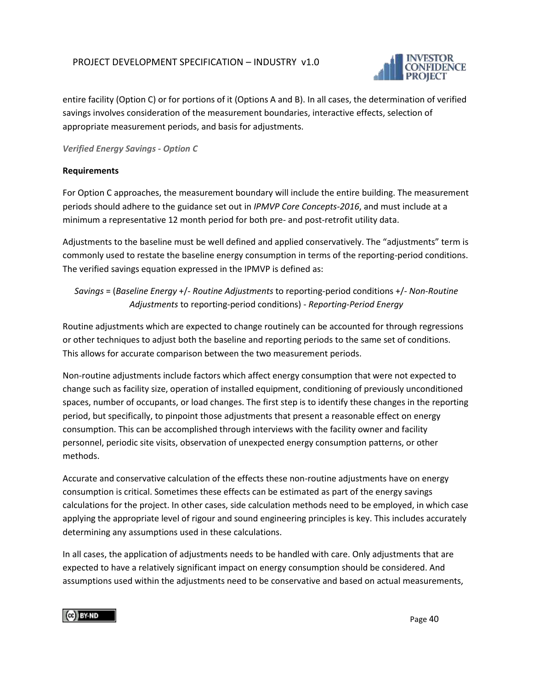

entire facility (Option C) or for portions of it (Options A and B). In all cases, the determination of verified savings involves consideration of the measurement boundaries, interactive effects, selection of appropriate measurement periods, and basis for adjustments.

*Verified Energy Savings - Option C*

#### **Requirements**

For Option C approaches, the measurement boundary will include the entire building. The measurement periods should adhere to the guidance set out in *IPMVP Core Concepts-2016*, and must include at a minimum a representative 12 month period for both pre- and post-retrofit utility data.

Adjustments to the baseline must be well defined and applied conservatively. The "adjustments" term is commonly used to restate the baseline energy consumption in terms of the reporting-period conditions. The verified savings equation expressed in the IPMVP is defined as:

*Savings* = (*Baseline Energy* +/- *Routine Adjustments* to reporting-period conditions +/- *Non-Routine Adjustments* to reporting-period conditions) - *Reporting-Period Energy*

Routine adjustments which are expected to change routinely can be accounted for through regressions or other techniques to adjust both the baseline and reporting periods to the same set of conditions. This allows for accurate comparison between the two measurement periods.

Non-routine adjustments include factors which affect energy consumption that were not expected to change such as facility size, operation of installed equipment, conditioning of previously unconditioned spaces, number of occupants, or load changes. The first step is to identify these changes in the reporting period, but specifically, to pinpoint those adjustments that present a reasonable effect on energy consumption. This can be accomplished through interviews with the facility owner and facility personnel, periodic site visits, observation of unexpected energy consumption patterns, or other methods.

Accurate and conservative calculation of the effects these non-routine adjustments have on energy consumption is critical. Sometimes these effects can be estimated as part of the energy savings calculations for the project. In other cases, side calculation methods need to be employed, in which case applying the appropriate level of rigour and sound engineering principles is key. This includes accurately determining any assumptions used in these calculations.

In all cases, the application of adjustments needs to be handled with care. Only adjustments that are expected to have a relatively significant impact on energy consumption should be considered. And assumptions used within the adjustments need to be conservative and based on actual measurements,

## **CO** BY ND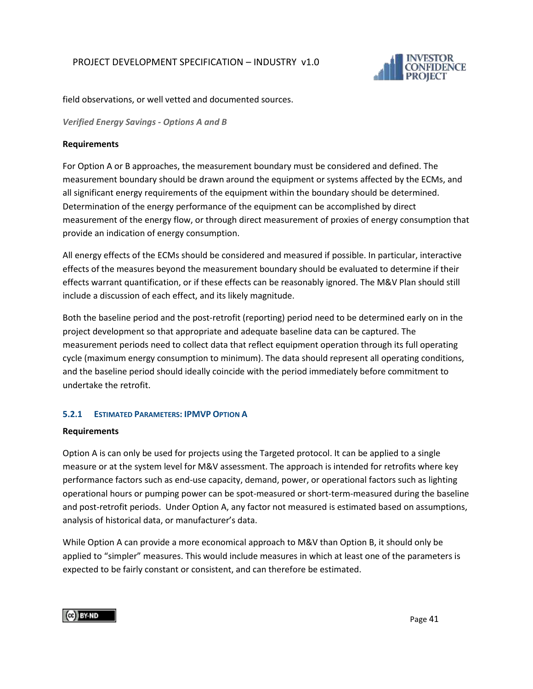

field observations, or well vetted and documented sources.

*Verified Energy Savings - Options A and B*

#### **Requirements**

For Option A or B approaches, the measurement boundary must be considered and defined. The measurement boundary should be drawn around the equipment or systems affected by the ECMs, and all significant energy requirements of the equipment within the boundary should be determined. Determination of the energy performance of the equipment can be accomplished by direct measurement of the energy flow, or through direct measurement of proxies of energy consumption that provide an indication of energy consumption.

All energy effects of the ECMs should be considered and measured if possible. In particular, interactive effects of the measures beyond the measurement boundary should be evaluated to determine if their effects warrant quantification, or if these effects can be reasonably ignored. The M&V Plan should still include a discussion of each effect, and its likely magnitude.

Both the baseline period and the post-retrofit (reporting) period need to be determined early on in the project development so that appropriate and adequate baseline data can be captured. The measurement periods need to collect data that reflect equipment operation through its full operating cycle (maximum energy consumption to minimum). The data should represent all operating conditions, and the baseline period should ideally coincide with the period immediately before commitment to undertake the retrofit.

#### <span id="page-40-0"></span>**5.2.1 ESTIMATED PARAMETERS: IPMVP OPTION A**

#### **Requirements**

Option A is can only be used for projects using the Targeted protocol. It can be applied to a single measure or at the system level for M&V assessment. The approach is intended for retrofits where key performance factors such as end-use capacity, demand, power, or operational factors such as lighting operational hours or pumping power can be spot-measured or short-term-measured during the baseline and post-retrofit periods. Under Option A, any factor not measured is estimated based on assumptions, analysis of historical data, or manufacturer's data.

While Option A can provide a more economical approach to M&V than Option B, it should only be applied to "simpler" measures. This would include measures in which at least one of the parameters is expected to be fairly constant or consistent, and can therefore be estimated.

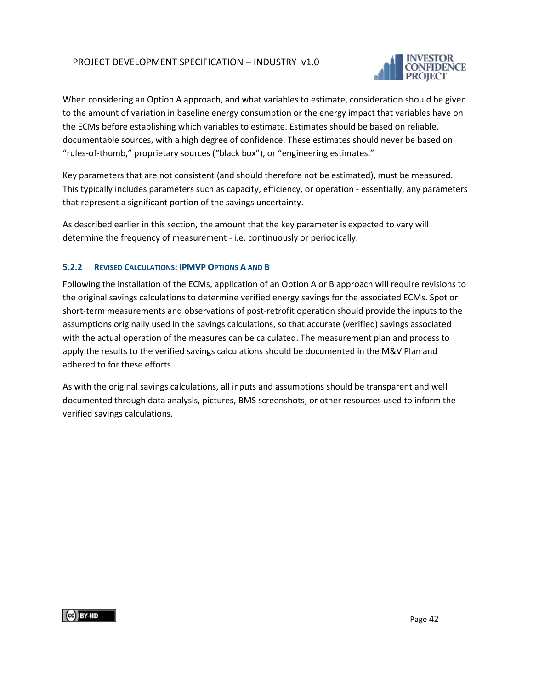

When considering an Option A approach, and what variables to estimate, consideration should be given to the amount of variation in baseline energy consumption or the energy impact that variables have on the ECMs before establishing which variables to estimate. Estimates should be based on reliable, documentable sources, with a high degree of confidence. These estimates should never be based on "rules-of-thumb," proprietary sources ("black box"), or "engineering estimates."

Key parameters that are not consistent (and should therefore not be estimated), must be measured. This typically includes parameters such as capacity, efficiency, or operation - essentially, any parameters that represent a significant portion of the savings uncertainty.

As described earlier in this section, the amount that the key parameter is expected to vary will determine the frequency of measurement - i.e. continuously or periodically.

#### <span id="page-41-0"></span>**5.2.2 REVISED CALCULATIONS: IPMVP OPTIONS A AND B**

Following the installation of the ECMs, application of an Option A or B approach will require revisions to the original savings calculations to determine verified energy savings for the associated ECMs. Spot or short-term measurements and observations of post-retrofit operation should provide the inputs to the assumptions originally used in the savings calculations, so that accurate (verified) savings associated with the actual operation of the measures can be calculated. The measurement plan and process to apply the results to the verified savings calculations should be documented in the M&V Plan and adhered to for these efforts.

As with the original savings calculations, all inputs and assumptions should be transparent and well documented through data analysis, pictures, BMS screenshots, or other resources used to inform the verified savings calculations.